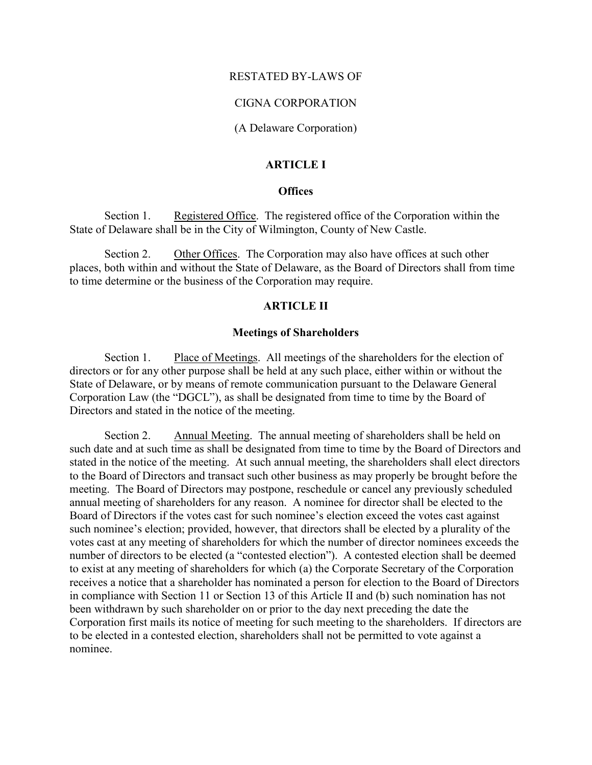## RESTATED BY-LAWS OF

## CIGNA CORPORATION

(A Delaware Corporation)

## **ARTICLE I**

#### **Offices**

Section 1. Registered Office. The registered office of the Corporation within the State of Delaware shall be in the City of Wilmington, County of New Castle.

Section 2. Other Offices. The Corporation may also have offices at such other places, both within and without the State of Delaware, as the Board of Directors shall from time to time determine or the business of the Corporation may require.

#### **ARTICLE II**

#### **Meetings of Shareholders**

<span id="page-0-0"></span>Section 1. Place of Meetings. All meetings of the shareholders for the election of directors or for any other purpose shall be held at any such place, either within or without the State of Delaware, or by means of remote communication pursuant to the Delaware General Corporation Law (the "DGCL"), as shall be designated from time to time by the Board of Directors and stated in the notice of the meeting.

Section 2. Annual Meeting. The annual meeting of shareholders shall be held on such date and at such time as shall be designated from time to time by the Board of Directors and stated in the notice of the meeting. At such annual meeting, the shareholders shall elect directors to the Board of Directors and transact such other business as may properly be brought before the meeting. The Board of Directors may postpone, reschedule or cancel any previously scheduled annual meeting of shareholders for any reason. A nominee for director shall be elected to the Board of Directors if the votes cast for such nominee's election exceed the votes cast against such nominee's election; provided, however, that directors shall be elected by a plurality of the votes cast at any meeting of shareholders for which the number of director nominees exceeds the number of directors to be elected (a "contested election"). A contested election shall be deemed to exist at any meeting of shareholders for which (a) the Corporate Secretary of the Corporation receives a notice that a shareholder has nominated a person for election to the Board of Directors in compliance with [Section](#page-7-0) 11 or [Section](#page-16-0) 13 of this [Article](#page-0-0) II and (b) such nomination has not been withdrawn by such shareholder on or prior to the day next preceding the date the Corporation first mails its notice of meeting for such meeting to the shareholders. If directors are to be elected in a contested election, shareholders shall not be permitted to vote against a nominee.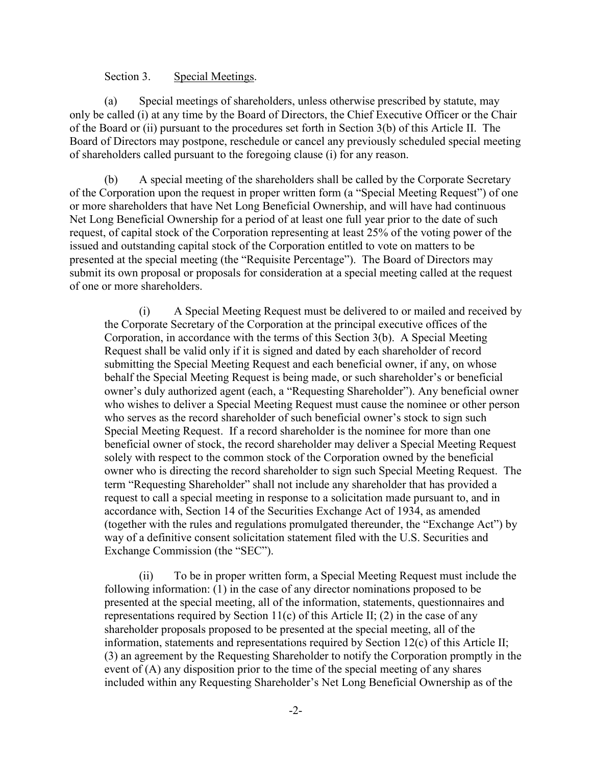## Section 3. Special Meetings.

<span id="page-1-0"></span>(a) Special meetings of shareholders, unless otherwise prescribed by statute, may only be called (i) at any time by the Board of Directors, the Chief Executive Officer or the Chair of the Board or (ii) pursuant to the procedures set forth in [Section](#page-1-0) [3\(b\)](#page-1-0) of this [Article](#page-0-0) II. The Board of Directors may postpone, reschedule or cancel any previously scheduled special meeting of shareholders called pursuant to the foregoing clause [\(i\)](#page-1-1) for any reason.

<span id="page-1-3"></span>(b) A special meeting of the shareholders shall be called by the Corporate Secretary of the Corporation upon the request in proper written form (a "Special Meeting Request") of one or more shareholders that have Net Long Beneficial Ownership, and will have had continuous Net Long Beneficial Ownership for a period of at least one full year prior to the date of such request, of capital stock of the Corporation representing at least 25% of the voting power of the issued and outstanding capital stock of the Corporation entitled to vote on matters to be presented at the special meeting (the "Requisite Percentage"). The Board of Directors may submit its own proposal or proposals for consideration at a special meeting called at the request of one or more shareholders.

<span id="page-1-1"></span>(i) A Special Meeting Request must be delivered to or mailed and received by the Corporate Secretary of the Corporation at the principal executive offices of the Corporation, in accordance with the terms of this [Section](#page-1-0) [3\(b\).](#page-1-0) A Special Meeting Request shall be valid only if it is signed and dated by each shareholder of record submitting the Special Meeting Request and each beneficial owner, if any, on whose behalf the Special Meeting Request is being made, or such shareholder's or beneficial owner's duly authorized agent (each, a "Requesting Shareholder"). Any beneficial owner who wishes to deliver a Special Meeting Request must cause the nominee or other person who serves as the record shareholder of such beneficial owner's stock to sign such Special Meeting Request. If a record shareholder is the nominee for more than one beneficial owner of stock, the record shareholder may deliver a Special Meeting Request solely with respect to the common stock of the Corporation owned by the beneficial owner who is directing the record shareholder to sign such Special Meeting Request. The term "Requesting Shareholder" shall not include any shareholder that has provided a request to call a special meeting in response to a solicitation made pursuant to, and in accordance with, Section 14 of the Securities Exchange Act of 1934, as amended (together with the rules and regulations promulgated thereunder, the "Exchange Act") by way of a definitive consent solicitation statement filed with the U.S. Securities and Exchange Commission (the "SEC").

<span id="page-1-2"></span>(ii) To be in proper written form, a Special Meeting Request must include the following information: (1) in the case of any director nominations proposed to be presented at the special meeting, all of the information, statements, questionnaires and representations required by [Section](#page-8-0)  $11(c)$  of this [Article](#page-0-0) II; (2) in the case of any shareholder proposals proposed to be presented at the special meeting, all of the information, statements and representations required by [Section](#page-16-1) 12(c) of this [Article](#page-0-0) II; (3) an agreement by the Requesting Shareholder to notify the Corporation promptly in the event of (A) any disposition prior to the time of the special meeting of any shares included within any Requesting Shareholder's Net Long Beneficial Ownership as of the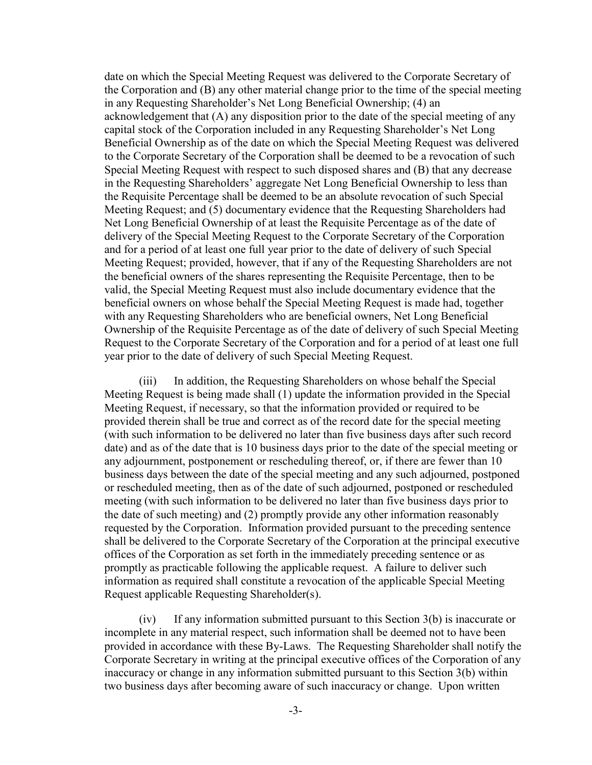date on which the Special Meeting Request was delivered to the Corporate Secretary of the Corporation and (B) any other material change prior to the time of the special meeting in any Requesting Shareholder's Net Long Beneficial Ownership; (4) an acknowledgement that (A) any disposition prior to the date of the special meeting of any capital stock of the Corporation included in any Requesting Shareholder's Net Long Beneficial Ownership as of the date on which the Special Meeting Request was delivered to the Corporate Secretary of the Corporation shall be deemed to be a revocation of such Special Meeting Request with respect to such disposed shares and (B) that any decrease in the Requesting Shareholders' aggregate Net Long Beneficial Ownership to less than the Requisite Percentage shall be deemed to be an absolute revocation of such Special Meeting Request; and (5) documentary evidence that the Requesting Shareholders had Net Long Beneficial Ownership of at least the Requisite Percentage as of the date of delivery of the Special Meeting Request to the Corporate Secretary of the Corporation and for a period of at least one full year prior to the date of delivery of such Special Meeting Request; provided, however, that if any of the Requesting Shareholders are not the beneficial owners of the shares representing the Requisite Percentage, then to be valid, the Special Meeting Request must also include documentary evidence that the beneficial owners on whose behalf the Special Meeting Request is made had, together with any Requesting Shareholders who are beneficial owners, Net Long Beneficial Ownership of the Requisite Percentage as of the date of delivery of such Special Meeting Request to the Corporate Secretary of the Corporation and for a period of at least one full year prior to the date of delivery of such Special Meeting Request.

(iii) In addition, the Requesting Shareholders on whose behalf the Special Meeting Request is being made shall (1) update the information provided in the Special Meeting Request, if necessary, so that the information provided or required to be provided therein shall be true and correct as of the record date for the special meeting (with such information to be delivered no later than five business days after such record date) and as of the date that is 10 business days prior to the date of the special meeting or any adjournment, postponement or rescheduling thereof, or, if there are fewer than 10 business days between the date of the special meeting and any such adjourned, postponed or rescheduled meeting, then as of the date of such adjourned, postponed or rescheduled meeting (with such information to be delivered no later than five business days prior to the date of such meeting) and (2) promptly provide any other information reasonably requested by the Corporation. Information provided pursuant to the preceding sentence shall be delivered to the Corporate Secretary of the Corporation at the principal executive offices of the Corporation as set forth in the immediately preceding sentence or as promptly as practicable following the applicable request. A failure to deliver such information as required shall constitute a revocation of the applicable Special Meeting Request applicable Requesting Shareholder(s).

(iv) If any information submitted pursuant to this [Section](#page-1-0) [3\(b\)](#page-1-0) is inaccurate or incomplete in any material respect, such information shall be deemed not to have been provided in accordance with these By-Laws. The Requesting Shareholder shall notify the Corporate Secretary in writing at the principal executive offices of the Corporation of any inaccuracy or change in any information submitted pursuant to this [Section](#page-1-0) [3\(b\)](#page-1-0) within two business days after becoming aware of such inaccuracy or change. Upon written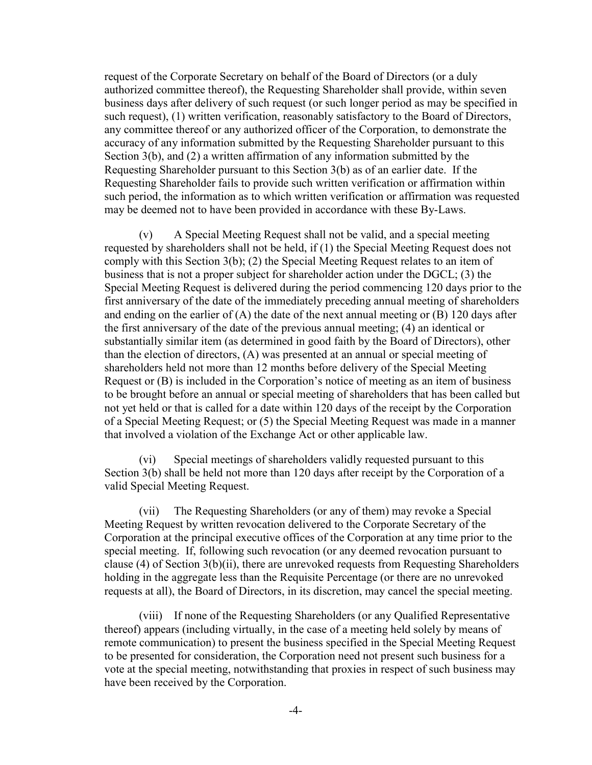request of the Corporate Secretary on behalf of the Board of Directors (or a duly authorized committee thereof), the Requesting Shareholder shall provide, within seven business days after delivery of such request (or such longer period as may be specified in such request), (1) written verification, reasonably satisfactory to the Board of Directors, any committee thereof or any authorized officer of the Corporation, to demonstrate the accuracy of any information submitted by the Requesting Shareholder pursuant to this [Section](#page-1-0) [3\(b\),](#page-1-0) and (2) a written affirmation of any information submitted by the Requesting Shareholder pursuant to this [Section](#page-1-0) [3\(b\)](#page-1-0) as of an earlier date. If the Requesting Shareholder fails to provide such written verification or affirmation within such period, the information as to which written verification or affirmation was requested may be deemed not to have been provided in accordance with these By-Laws.

(v) A Special Meeting Request shall not be valid, and a special meeting requested by shareholders shall not be held, if (1) the Special Meeting Request does not comply with this [Section](#page-1-0) [3\(b\);](#page-1-0) (2) the Special Meeting Request relates to an item of business that is not a proper subject for shareholder action under the DGCL; (3) the Special Meeting Request is delivered during the period commencing 120 days prior to the first anniversary of the date of the immediately preceding annual meeting of shareholders and ending on the earlier of  $(A)$  the date of the next annual meeting or  $(B)$  120 days after the first anniversary of the date of the previous annual meeting; (4) an identical or substantially similar item (as determined in good faith by the Board of Directors), other than the election of directors, (A) was presented at an annual or special meeting of shareholders held not more than 12 months before delivery of the Special Meeting Request or (B) is included in the Corporation's notice of meeting as an item of business to be brought before an annual or special meeting of shareholders that has been called but not yet held or that is called for a date within 120 days of the receipt by the Corporation of a Special Meeting Request; or (5) the Special Meeting Request was made in a manner that involved a violation of the Exchange Act or other applicable law.

(vi) Special meetings of shareholders validly requested pursuant to this [Section](#page-1-0) [3\(b\)](#page-1-0) shall be held not more than 120 days after receipt by the Corporation of a valid Special Meeting Request.

(vii) The Requesting Shareholders (or any of them) may revoke a Special Meeting Request by written revocation delivered to the Corporate Secretary of the Corporation at the principal executive offices of the Corporation at any time prior to the special meeting. If, following such revocation (or any deemed revocation pursuant to clause (4) of [Section](#page-1-0)  $3(b)(ii)$  $3(b)(ii)$ , there are unrevoked requests from Requesting Shareholders holding in the aggregate less than the Requisite Percentage (or there are no unrevoked requests at all), the Board of Directors, in its discretion, may cancel the special meeting.

(viii) If none of the Requesting Shareholders (or any Qualified Representative thereof) appears (including virtually, in the case of a meeting held solely by means of remote communication) to present the business specified in the Special Meeting Request to be presented for consideration, the Corporation need not present such business for a vote at the special meeting, notwithstanding that proxies in respect of such business may have been received by the Corporation.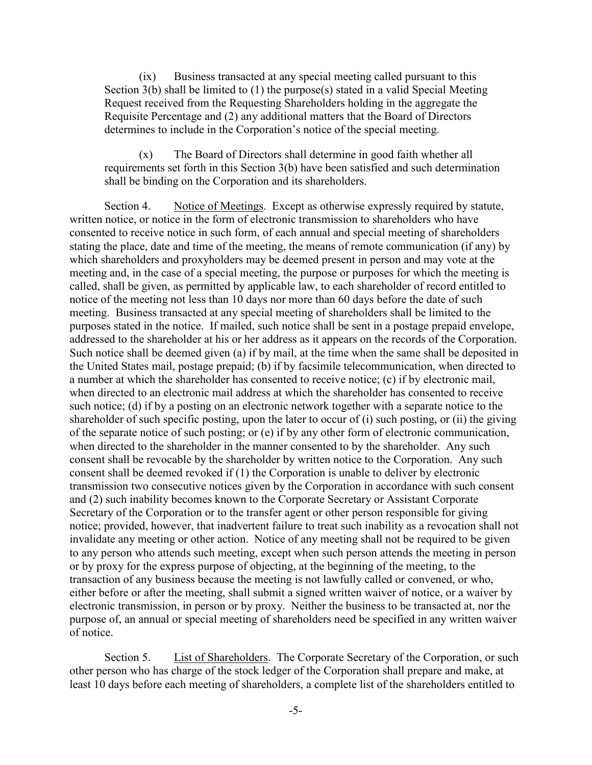(ix) Business transacted at any special meeting called pursuant to this [Section](#page-1-0) [3\(b\)](#page-1-0) shall be limited to (1) the purpose(s) stated in a valid Special Meeting Request received from the Requesting Shareholders holding in the aggregate the Requisite Percentage and (2) any additional matters that the Board of Directors determines to include in the Corporation's notice of the special meeting.

(x) The Board of Directors shall determine in good faith whether all requirements set forth in this [Section](#page-1-0) [3\(b\)](#page-1-0) have been satisfied and such determination shall be binding on the Corporation and its shareholders.

Section 4. Notice of Meetings. Except as otherwise expressly required by statute, written notice, or notice in the form of electronic transmission to shareholders who have consented to receive notice in such form, of each annual and special meeting of shareholders stating the place, date and time of the meeting, the means of remote communication (if any) by which shareholders and proxyholders may be deemed present in person and may vote at the meeting and, in the case of a special meeting, the purpose or purposes for which the meeting is called, shall be given, as permitted by applicable law, to each shareholder of record entitled to notice of the meeting not less than 10 days nor more than 60 days before the date of such meeting. Business transacted at any special meeting of shareholders shall be limited to the purposes stated in the notice. If mailed, such notice shall be sent in a postage prepaid envelope, addressed to the shareholder at his or her address as it appears on the records of the Corporation. Such notice shall be deemed given (a) if by mail, at the time when the same shall be deposited in the United States mail, postage prepaid; (b) if by facsimile telecommunication, when directed to a number at which the shareholder has consented to receive notice; (c) if by electronic mail, when directed to an electronic mail address at which the shareholder has consented to receive such notice; (d) if by a posting on an electronic network together with a separate notice to the shareholder of such specific posting, upon the later to occur of (i) such posting, or (ii) the giving of the separate notice of such posting; or (e) if by any other form of electronic communication, when directed to the shareholder in the manner consented to by the shareholder. Any such consent shall be revocable by the shareholder by written notice to the Corporation. Any such consent shall be deemed revoked if (1) the Corporation is unable to deliver by electronic transmission two consecutive notices given by the Corporation in accordance with such consent and (2) such inability becomes known to the Corporate Secretary or Assistant Corporate Secretary of the Corporation or to the transfer agent or other person responsible for giving notice; provided, however, that inadvertent failure to treat such inability as a revocation shall not invalidate any meeting or other action. Notice of any meeting shall not be required to be given to any person who attends such meeting, except when such person attends the meeting in person or by proxy for the express purpose of objecting, at the beginning of the meeting, to the transaction of any business because the meeting is not lawfully called or convened, or who, either before or after the meeting, shall submit a signed written waiver of notice, or a waiver by electronic transmission, in person or by proxy. Neither the business to be transacted at, nor the purpose of, an annual or special meeting of shareholders need be specified in any written waiver of notice.

Section 5. List of Shareholders. The Corporate Secretary of the Corporation, or such other person who has charge of the stock ledger of the Corporation shall prepare and make, at least 10 days before each meeting of shareholders, a complete list of the shareholders entitled to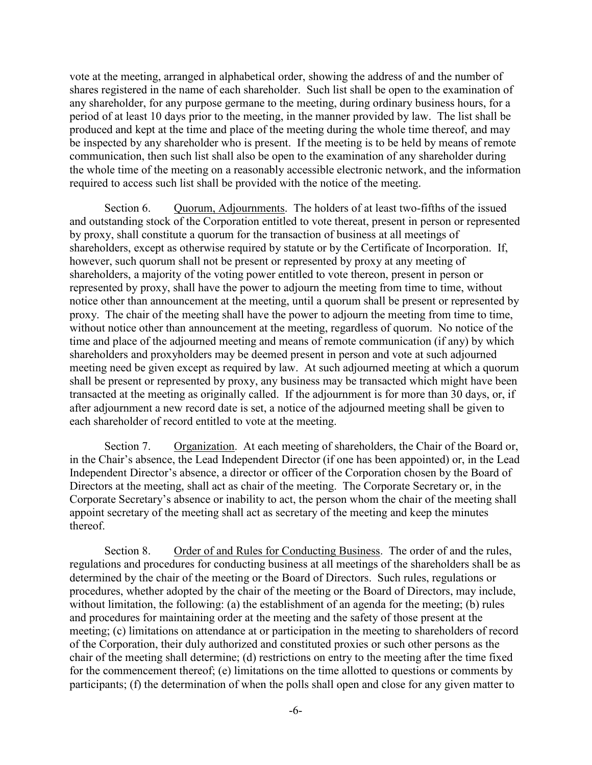vote at the meeting, arranged in alphabetical order, showing the address of and the number of shares registered in the name of each shareholder. Such list shall be open to the examination of any shareholder, for any purpose germane to the meeting, during ordinary business hours, for a period of at least 10 days prior to the meeting, in the manner provided by law. The list shall be produced and kept at the time and place of the meeting during the whole time thereof, and may be inspected by any shareholder who is present. If the meeting is to be held by means of remote communication, then such list shall also be open to the examination of any shareholder during the whole time of the meeting on a reasonably accessible electronic network, and the information required to access such list shall be provided with the notice of the meeting.

Section 6. Quorum, Adjournments. The holders of at least two-fifths of the issued and outstanding stock of the Corporation entitled to vote thereat, present in person or represented by proxy, shall constitute a quorum for the transaction of business at all meetings of shareholders, except as otherwise required by statute or by the Certificate of Incorporation. If, however, such quorum shall not be present or represented by proxy at any meeting of shareholders, a majority of the voting power entitled to vote thereon, present in person or represented by proxy, shall have the power to adjourn the meeting from time to time, without notice other than announcement at the meeting, until a quorum shall be present or represented by proxy. The chair of the meeting shall have the power to adjourn the meeting from time to time, without notice other than announcement at the meeting, regardless of quorum. No notice of the time and place of the adjourned meeting and means of remote communication (if any) by which shareholders and proxyholders may be deemed present in person and vote at such adjourned meeting need be given except as required by law. At such adjourned meeting at which a quorum shall be present or represented by proxy, any business may be transacted which might have been transacted at the meeting as originally called. If the adjournment is for more than 30 days, or, if after adjournment a new record date is set, a notice of the adjourned meeting shall be given to each shareholder of record entitled to vote at the meeting.

<span id="page-5-0"></span>Section 7. Organization. At each meeting of shareholders, the Chair of the Board or, in the Chair's absence, the Lead Independent Director (if one has been appointed) or, in the Lead Independent Director's absence, a director or officer of the Corporation chosen by the Board of Directors at the meeting, shall act as chair of the meeting. The Corporate Secretary or, in the Corporate Secretary's absence or inability to act, the person whom the chair of the meeting shall appoint secretary of the meeting shall act as secretary of the meeting and keep the minutes thereof.

Section 8. Order of and Rules for Conducting Business. The order of and the rules, regulations and procedures for conducting business at all meetings of the shareholders shall be as determined by the chair of the meeting or the Board of Directors. Such rules, regulations or procedures, whether adopted by the chair of the meeting or the Board of Directors, may include, without limitation, the following: (a) the establishment of an agenda for the meeting; (b) rules and procedures for maintaining order at the meeting and the safety of those present at the meeting; (c) limitations on attendance at or participation in the meeting to shareholders of record of the Corporation, their duly authorized and constituted proxies or such other persons as the chair of the meeting shall determine; (d) restrictions on entry to the meeting after the time fixed for the commencement thereof; (e) limitations on the time allotted to questions or comments by participants; (f) the determination of when the polls shall open and close for any given matter to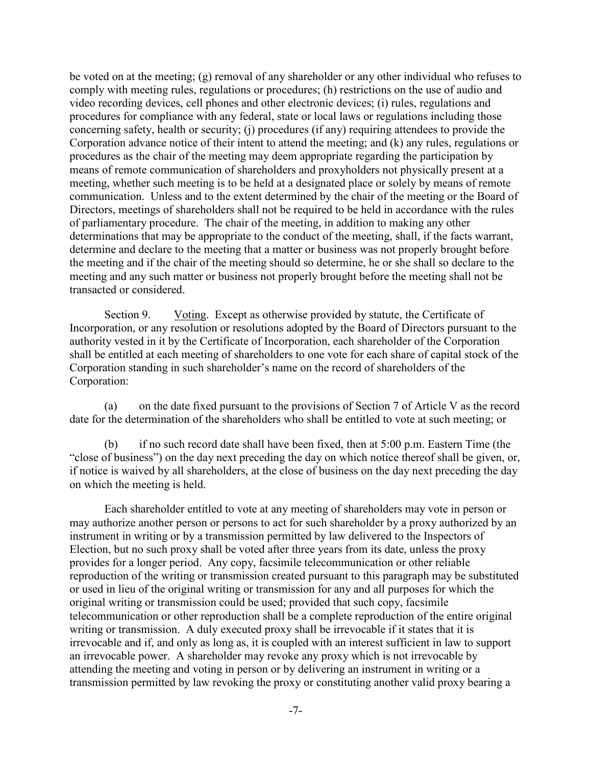be voted on at the meeting; (g) removal of any shareholder or any other individual who refuses to comply with meeting rules, regulations or procedures; (h) restrictions on the use of audio and video recording devices, cell phones and other electronic devices; (i) rules, regulations and procedures for compliance with any federal, state or local laws or regulations including those concerning safety, health or security; (j) procedures (if any) requiring attendees to provide the Corporation advance notice of their intent to attend the meeting; and (k) any rules, regulations or procedures as the chair of the meeting may deem appropriate regarding the participation by means of remote communication of shareholders and proxyholders not physically present at a meeting, whether such meeting is to be held at a designated place or solely by means of remote communication. Unless and to the extent determined by the chair of the meeting or the Board of Directors, meetings of shareholders shall not be required to be held in accordance with the rules of parliamentary procedure. The chair of the meeting, in addition to making any other determinations that may be appropriate to the conduct of the meeting, shall, if the facts warrant, determine and declare to the meeting that a matter or business was not properly brought before the meeting and if the chair of the meeting should so determine, he or she shall so declare to the meeting and any such matter or business not properly brought before the meeting shall not be transacted or considered.

Section 9. Voting. Except as otherwise provided by statute, the Certificate of Incorporation, or any resolution or resolutions adopted by the Board of Directors pursuant to the authority vested in it by the Certificate of Incorporation, each shareholder of the Corporation shall be entitled at each meeting of shareholders to one vote for each share of capital stock of the Corporation standing in such shareholder's name on the record of shareholders of the Corporation:

(a) on the date fixed pursuant to the provisions of [Section](#page-5-0) 7 of [Article](#page-34-0) V as the record date for the determination of the shareholders who shall be entitled to vote at such meeting; or

(b) if no such record date shall have been fixed, then at 5:00 p.m. Eastern Time (the "close of business") on the day next preceding the day on which notice thereof shall be given, or, if notice is waived by all shareholders, at the close of business on the day next preceding the day on which the meeting is held.

Each shareholder entitled to vote at any meeting of shareholders may vote in person or may authorize another person or persons to act for such shareholder by a proxy authorized by an instrument in writing or by a transmission permitted by law delivered to the Inspectors of Election, but no such proxy shall be voted after three years from its date, unless the proxy provides for a longer period. Any copy, facsimile telecommunication or other reliable reproduction of the writing or transmission created pursuant to this paragraph may be substituted or used in lieu of the original writing or transmission for any and all purposes for which the original writing or transmission could be used; provided that such copy, facsimile telecommunication or other reproduction shall be a complete reproduction of the entire original writing or transmission. A duly executed proxy shall be irrevocable if it states that it is irrevocable and if, and only as long as, it is coupled with an interest sufficient in law to support an irrevocable power. A shareholder may revoke any proxy which is not irrevocable by attending the meeting and voting in person or by delivering an instrument in writing or a transmission permitted by law revoking the proxy or constituting another valid proxy bearing a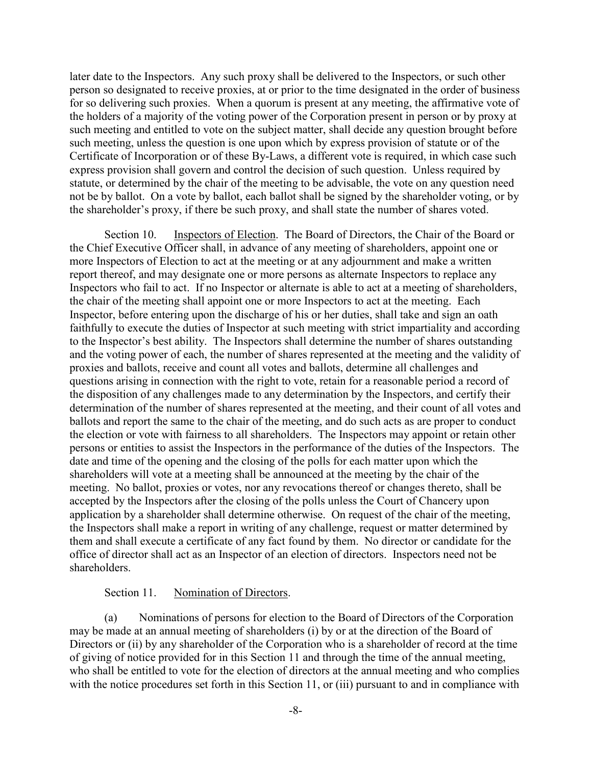later date to the Inspectors. Any such proxy shall be delivered to the Inspectors, or such other person so designated to receive proxies, at or prior to the time designated in the order of business for so delivering such proxies. When a quorum is present at any meeting, the affirmative vote of the holders of a majority of the voting power of the Corporation present in person or by proxy at such meeting and entitled to vote on the subject matter, shall decide any question brought before such meeting, unless the question is one upon which by express provision of statute or of the Certificate of Incorporation or of these By-Laws, a different vote is required, in which case such express provision shall govern and control the decision of such question. Unless required by statute, or determined by the chair of the meeting to be advisable, the vote on any question need not be by ballot. On a vote by ballot, each ballot shall be signed by the shareholder voting, or by the shareholder's proxy, if there be such proxy, and shall state the number of shares voted.

Section 10. Inspectors of Election. The Board of Directors, the Chair of the Board or the Chief Executive Officer shall, in advance of any meeting of shareholders, appoint one or more Inspectors of Election to act at the meeting or at any adjournment and make a written report thereof, and may designate one or more persons as alternate Inspectors to replace any Inspectors who fail to act. If no Inspector or alternate is able to act at a meeting of shareholders, the chair of the meeting shall appoint one or more Inspectors to act at the meeting. Each Inspector, before entering upon the discharge of his or her duties, shall take and sign an oath faithfully to execute the duties of Inspector at such meeting with strict impartiality and according to the Inspector's best ability. The Inspectors shall determine the number of shares outstanding and the voting power of each, the number of shares represented at the meeting and the validity of proxies and ballots, receive and count all votes and ballots, determine all challenges and questions arising in connection with the right to vote, retain for a reasonable period a record of the disposition of any challenges made to any determination by the Inspectors, and certify their determination of the number of shares represented at the meeting, and their count of all votes and ballots and report the same to the chair of the meeting, and do such acts as are proper to conduct the election or vote with fairness to all shareholders. The Inspectors may appoint or retain other persons or entities to assist the Inspectors in the performance of the duties of the Inspectors. The date and time of the opening and the closing of the polls for each matter upon which the shareholders will vote at a meeting shall be announced at the meeting by the chair of the meeting. No ballot, proxies or votes, nor any revocations thereof or changes thereto, shall be accepted by the Inspectors after the closing of the polls unless the Court of Chancery upon application by a shareholder shall determine otherwise. On request of the chair of the meeting, the Inspectors shall make a report in writing of any challenge, request or matter determined by them and shall execute a certificate of any fact found by them. No director or candidate for the office of director shall act as an Inspector of an election of directors. Inspectors need not be shareholders.

## Section 11. Nomination of Directors.

<span id="page-7-0"></span>(a) Nominations of persons for election to the Board of Directors of the Corporation may be made at an annual meeting of shareholders (i) by or at the direction of the Board of Directors or (ii) by any shareholder of the Corporation who is a shareholder of record at the time of giving of notice provided for in this [Section](#page-7-0) 11 and through the time of the annual meeting, who shall be entitled to vote for the election of directors at the annual meeting and who complies with the notice procedures set forth in this [Section](#page-7-0) 11, or (iii) pursuant to and in compliance with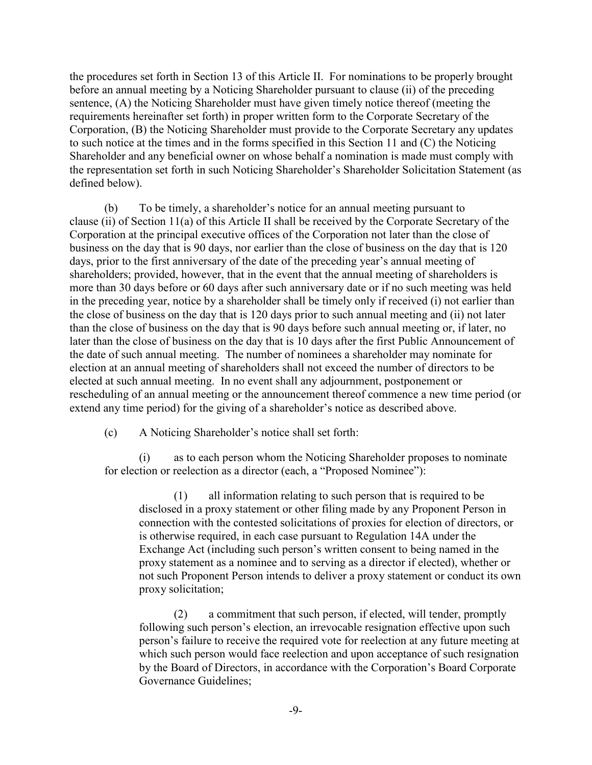the procedures set forth in [Section](#page-16-0) 13 of this [Article](#page-0-0) II. For nominations to be properly brought before an annual meeting by a Noticing Shareholder pursuant to clause (ii) of the preceding sentence, (A) the Noticing Shareholder must have given timely notice thereof (meeting the requirements hereinafter set forth) in proper written form to the Corporate Secretary of the Corporation, (B) the Noticing Shareholder must provide to the Corporate Secretary any updates to such notice at the times and in the forms specified in this [Section](#page-7-0) 11 and (C) the Noticing Shareholder and any beneficial owner on whose behalf a nomination is made must comply with the representation set forth in such Noticing Shareholder's Shareholder Solicitation Statement (as defined below).

(b) To be timely, a shareholder's notice for an annual meeting pursuant to clause (ii) of [Section](#page-7-0) 1[1\(a\)](#page-7-0) of this [Article](#page-0-0) II shall be received by the Corporate Secretary of the Corporation at the principal executive offices of the Corporation not later than the close of business on the day that is 90 days, nor earlier than the close of business on the day that is 120 days, prior to the first anniversary of the date of the preceding year's annual meeting of shareholders; provided, however, that in the event that the annual meeting of shareholders is more than 30 days before or 60 days after such anniversary date or if no such meeting was held in the preceding year, notice by a shareholder shall be timely only if received (i) not earlier than the close of business on the day that is 120 days prior to such annual meeting and (ii) not later than the close of business on the day that is 90 days before such annual meeting or, if later, no later than the close of business on the day that is 10 days after the first Public Announcement of the date of such annual meeting. The number of nominees a shareholder may nominate for election at an annual meeting of shareholders shall not exceed the number of directors to be elected at such annual meeting. In no event shall any adjournment, postponement or rescheduling of an annual meeting or the announcement thereof commence a new time period (or extend any time period) for the giving of a shareholder's notice as described above.

<span id="page-8-0"></span>(c) A Noticing Shareholder's notice shall set forth:

(i) as to each person whom the Noticing Shareholder proposes to nominate for election or reelection as a director (each, a "Proposed Nominee"):

(1) all information relating to such person that is required to be disclosed in a proxy statement or other filing made by any Proponent Person in connection with the contested solicitations of proxies for election of directors, or is otherwise required, in each case pursuant to Regulation 14A under the Exchange Act (including such person's written consent to being named in the proxy statement as a nominee and to serving as a director if elected), whether or not such Proponent Person intends to deliver a proxy statement or conduct its own proxy solicitation;

(2) a commitment that such person, if elected, will tender, promptly following such person's election, an irrevocable resignation effective upon such person's failure to receive the required vote for reelection at any future meeting at which such person would face reelection and upon acceptance of such resignation by the Board of Directors, in accordance with the Corporation's Board Corporate Governance Guidelines;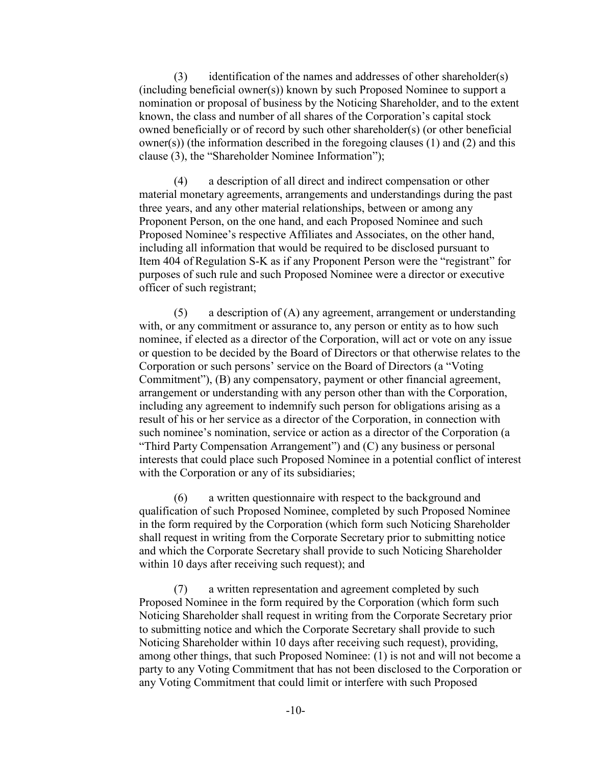(3) identification of the names and addresses of other shareholder(s) (including beneficial owner(s)) known by such Proposed Nominee to support a nomination or proposal of business by the Noticing Shareholder, and to the extent known, the class and number of all shares of the Corporation's capital stock owned beneficially or of record by such other shareholder(s) (or other beneficial owner(s)) (the information described in the foregoing clauses (1) and (2) and this clause (3), the "Shareholder Nominee Information");

(4) a description of all direct and indirect compensation or other material monetary agreements, arrangements and understandings during the past three years, and any other material relationships, between or among any Proponent Person, on the one hand, and each Proposed Nominee and such Proposed Nominee's respective Affiliates and Associates, on the other hand, including all information that would be required to be disclosed pursuant to Item 404 of Regulation S-K as if any Proponent Person were the "registrant" for purposes of such rule and such Proposed Nominee were a director or executive officer of such registrant;

(5) a description of (A) any agreement, arrangement or understanding with, or any commitment or assurance to, any person or entity as to how such nominee, if elected as a director of the Corporation, will act or vote on any issue or question to be decided by the Board of Directors or that otherwise relates to the Corporation or such persons' service on the Board of Directors (a "Voting Commitment"), (B) any compensatory, payment or other financial agreement, arrangement or understanding with any person other than with the Corporation, including any agreement to indemnify such person for obligations arising as a result of his or her service as a director of the Corporation, in connection with such nominee's nomination, service or action as a director of the Corporation (a "Third Party Compensation Arrangement") and (C) any business or personal interests that could place such Proposed Nominee in a potential conflict of interest with the Corporation or any of its subsidiaries;

(6) a written questionnaire with respect to the background and qualification of such Proposed Nominee, completed by such Proposed Nominee in the form required by the Corporation (which form such Noticing Shareholder shall request in writing from the Corporate Secretary prior to submitting notice and which the Corporate Secretary shall provide to such Noticing Shareholder within 10 days after receiving such request); and

(7) a written representation and agreement completed by such Proposed Nominee in the form required by the Corporation (which form such Noticing Shareholder shall request in writing from the Corporate Secretary prior to submitting notice and which the Corporate Secretary shall provide to such Noticing Shareholder within 10 days after receiving such request), providing, among other things, that such Proposed Nominee: (1) is not and will not become a party to any Voting Commitment that has not been disclosed to the Corporation or any Voting Commitment that could limit or interfere with such Proposed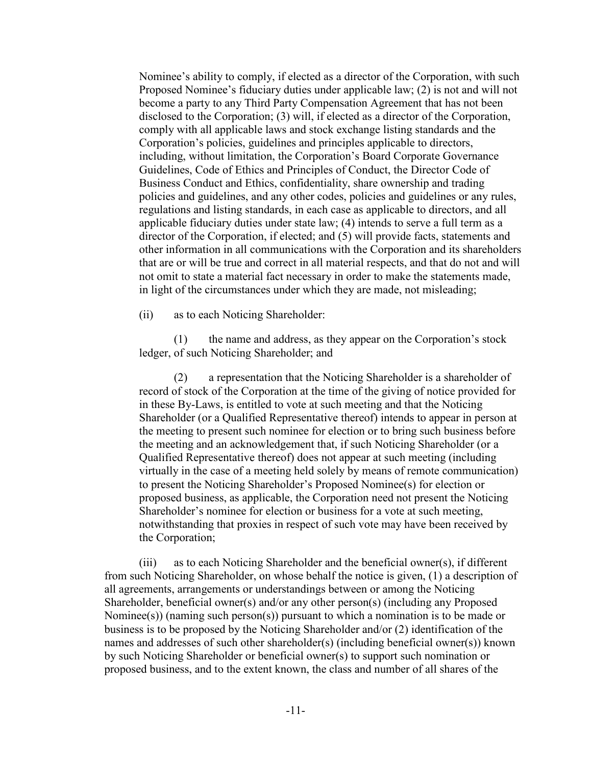Nominee's ability to comply, if elected as a director of the Corporation, with such Proposed Nominee's fiduciary duties under applicable law; (2) is not and will not become a party to any Third Party Compensation Agreement that has not been disclosed to the Corporation; (3) will, if elected as a director of the Corporation, comply with all applicable laws and stock exchange listing standards and the Corporation's policies, guidelines and principles applicable to directors, including, without limitation, the Corporation's Board Corporate Governance Guidelines, Code of Ethics and Principles of Conduct, the Director Code of Business Conduct and Ethics, confidentiality, share ownership and trading policies and guidelines, and any other codes, policies and guidelines or any rules, regulations and listing standards, in each case as applicable to directors, and all applicable fiduciary duties under state law; (4) intends to serve a full term as a director of the Corporation, if elected; and (5) will provide facts, statements and other information in all communications with the Corporation and its shareholders that are or will be true and correct in all material respects, and that do not and will not omit to state a material fact necessary in order to make the statements made, in light of the circumstances under which they are made, not misleading;

<span id="page-10-0"></span>(ii) as to each Noticing Shareholder:

(1) the name and address, as they appear on the Corporation's stock ledger, of such Noticing Shareholder; and

(2) a representation that the Noticing Shareholder is a shareholder of record of stock of the Corporation at the time of the giving of notice provided for in these By-Laws, is entitled to vote at such meeting and that the Noticing Shareholder (or a Qualified Representative thereof) intends to appear in person at the meeting to present such nominee for election or to bring such business before the meeting and an acknowledgement that, if such Noticing Shareholder (or a Qualified Representative thereof) does not appear at such meeting (including virtually in the case of a meeting held solely by means of remote communication) to present the Noticing Shareholder's Proposed Nominee(s) for election or proposed business, as applicable, the Corporation need not present the Noticing Shareholder's nominee for election or business for a vote at such meeting, notwithstanding that proxies in respect of such vote may have been received by the Corporation;

(iii) as to each Noticing Shareholder and the beneficial owner(s), if different from such Noticing Shareholder, on whose behalf the notice is given, (1) a description of all agreements, arrangements or understandings between or among the Noticing Shareholder, beneficial owner(s) and/or any other person(s) (including any Proposed Nominee(s)) (naming such person(s)) pursuant to which a nomination is to be made or business is to be proposed by the Noticing Shareholder and/or (2) identification of the names and addresses of such other shareholder(s) (including beneficial owner(s)) known by such Noticing Shareholder or beneficial owner(s) to support such nomination or proposed business, and to the extent known, the class and number of all shares of the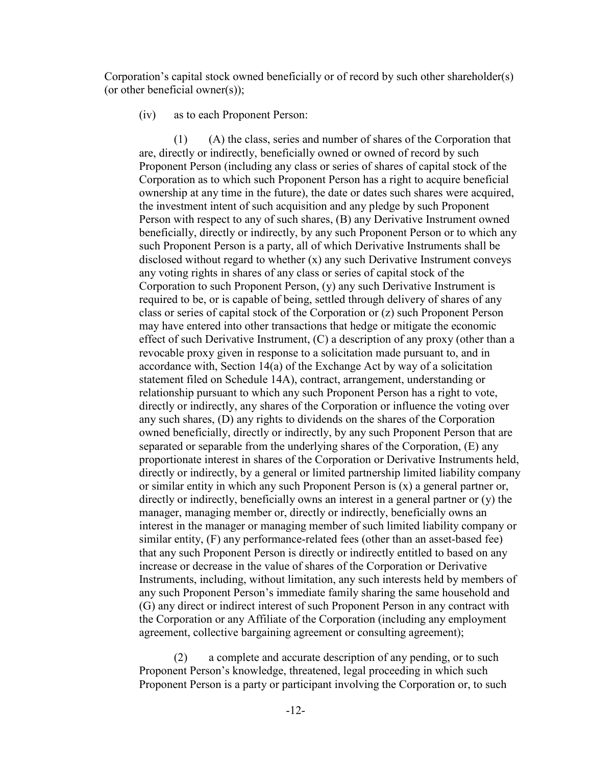Corporation's capital stock owned beneficially or of record by such other shareholder(s) (or other beneficial owner(s));

(iv) as to each Proponent Person:

<span id="page-11-0"></span>(1) (A) the class, series and number of shares of the Corporation that are, directly or indirectly, beneficially owned or owned of record by such Proponent Person (including any class or series of shares of capital stock of the Corporation as to which such Proponent Person has a right to acquire beneficial ownership at any time in the future), the date or dates such shares were acquired, the investment intent of such acquisition and any pledge by such Proponent Person with respect to any of such shares, (B) any Derivative Instrument owned beneficially, directly or indirectly, by any such Proponent Person or to which any such Proponent Person is a party, all of which Derivative Instruments shall be disclosed without regard to whether (x) any such Derivative Instrument conveys any voting rights in shares of any class or series of capital stock of the Corporation to such Proponent Person, (y) any such Derivative Instrument is required to be, or is capable of being, settled through delivery of shares of any class or series of capital stock of the Corporation or (z) such Proponent Person may have entered into other transactions that hedge or mitigate the economic effect of such Derivative Instrument, (C) a description of any proxy (other than a revocable proxy given in response to a solicitation made pursuant to, and in accordance with, Section 14(a) of the Exchange Act by way of a solicitation statement filed on Schedule 14A), contract, arrangement, understanding or relationship pursuant to which any such Proponent Person has a right to vote, directly or indirectly, any shares of the Corporation or influence the voting over any such shares, (D) any rights to dividends on the shares of the Corporation owned beneficially, directly or indirectly, by any such Proponent Person that are separated or separable from the underlying shares of the Corporation, (E) any proportionate interest in shares of the Corporation or Derivative Instruments held, directly or indirectly, by a general or limited partnership limited liability company or similar entity in which any such Proponent Person is (x) a general partner or, directly or indirectly, beneficially owns an interest in a general partner or (y) the manager, managing member or, directly or indirectly, beneficially owns an interest in the manager or managing member of such limited liability company or similar entity, (F) any performance-related fees (other than an asset-based fee) that any such Proponent Person is directly or indirectly entitled to based on any increase or decrease in the value of shares of the Corporation or Derivative Instruments, including, without limitation, any such interests held by members of any such Proponent Person's immediate family sharing the same household and (G) any direct or indirect interest of such Proponent Person in any contract with the Corporation or any Affiliate of the Corporation (including any employment agreement, collective bargaining agreement or consulting agreement);

(2) a complete and accurate description of any pending, or to such Proponent Person's knowledge, threatened, legal proceeding in which such Proponent Person is a party or participant involving the Corporation or, to such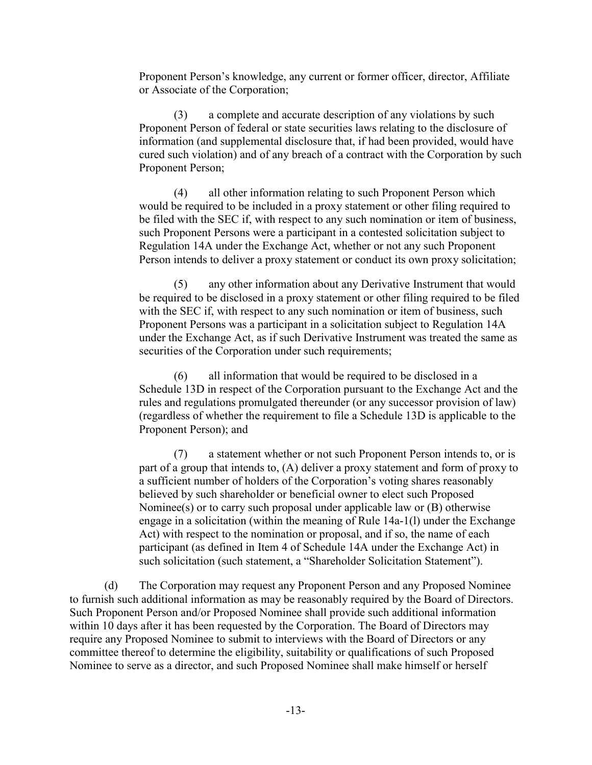Proponent Person's knowledge, any current or former officer, director, Affiliate or Associate of the Corporation;

(3) a complete and accurate description of any violations by such Proponent Person of federal or state securities laws relating to the disclosure of information (and supplemental disclosure that, if had been provided, would have cured such violation) and of any breach of a contract with the Corporation by such Proponent Person;

<span id="page-12-0"></span>(4) all other information relating to such Proponent Person which would be required to be included in a proxy statement or other filing required to be filed with the SEC if, with respect to any such nomination or item of business, such Proponent Persons were a participant in a contested solicitation subject to Regulation 14A under the Exchange Act, whether or not any such Proponent Person intends to deliver a proxy statement or conduct its own proxy solicitation;

(5) any other information about any Derivative Instrument that would be required to be disclosed in a proxy statement or other filing required to be filed with the SEC if, with respect to any such nomination or item of business, such Proponent Persons was a participant in a solicitation subject to Regulation 14A under the Exchange Act, as if such Derivative Instrument was treated the same as securities of the Corporation under such requirements;

(6) all information that would be required to be disclosed in a Schedule 13D in respect of the Corporation pursuant to the Exchange Act and the rules and regulations promulgated thereunder (or any successor provision of law) (regardless of whether the requirement to file a Schedule 13D is applicable to the Proponent Person); and

(7) a statement whether or not such Proponent Person intends to, or is part of a group that intends to, (A) deliver a proxy statement and form of proxy to a sufficient number of holders of the Corporation's voting shares reasonably believed by such shareholder or beneficial owner to elect such Proposed Nominee(s) or to carry such proposal under applicable law or (B) otherwise engage in a solicitation (within the meaning of Rule 14a-1(l) under the Exchange Act) with respect to the nomination or proposal, and if so, the name of each participant (as defined in Item 4 of Schedule 14A under the Exchange Act) in such solicitation (such statement, a "Shareholder Solicitation Statement").

(d) The Corporation may request any Proponent Person and any Proposed Nominee to furnish such additional information as may be reasonably required by the Board of Directors. Such Proponent Person and/or Proposed Nominee shall provide such additional information within 10 days after it has been requested by the Corporation. The Board of Directors may require any Proposed Nominee to submit to interviews with the Board of Directors or any committee thereof to determine the eligibility, suitability or qualifications of such Proposed Nominee to serve as a director, and such Proposed Nominee shall make himself or herself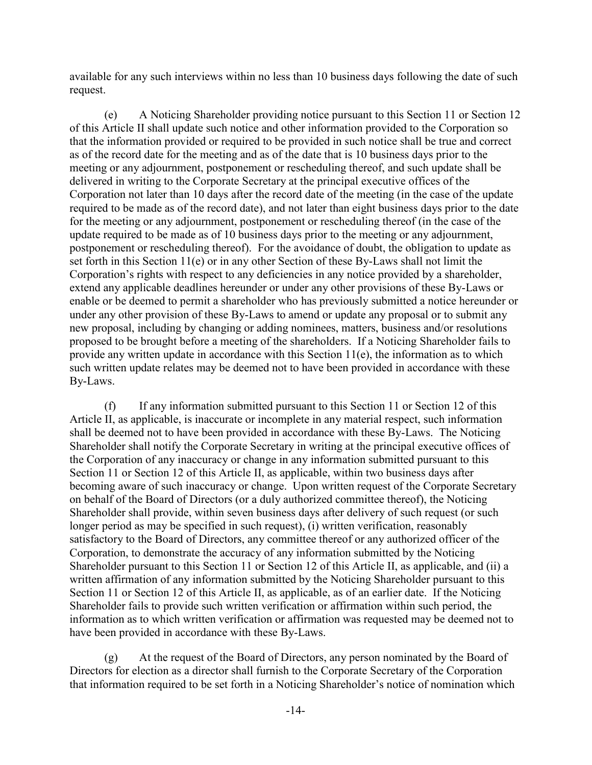available for any such interviews within no less than 10 business days following the date of such request.

(e) A Noticing Shareholder providing notice pursuant to this [Section](#page-7-0) 11 or [Section](#page-15-0) 12 of this [Article](#page-0-0) II shall update such notice and other information provided to the Corporation so that the information provided or required to be provided in such notice shall be true and correct as of the record date for the meeting and as of the date that is 10 business days prior to the meeting or any adjournment, postponement or rescheduling thereof, and such update shall be delivered in writing to the Corporate Secretary at the principal executive offices of the Corporation not later than 10 days after the record date of the meeting (in the case of the update required to be made as of the record date), and not later than eight business days prior to the date for the meeting or any adjournment, postponement or rescheduling thereof (in the case of the update required to be made as of 10 business days prior to the meeting or any adjournment, postponement or rescheduling thereof). For the avoidance of doubt, the obligation to update as set forth in this [Section](#page-7-0) 1[1\(e\)](#page-7-0) or in any other Section of these By-Laws shall not limit the Corporation's rights with respect to any deficiencies in any notice provided by a shareholder, extend any applicable deadlines hereunder or under any other provisions of these By-Laws or enable or be deemed to permit a shareholder who has previously submitted a notice hereunder or under any other provision of these By-Laws to amend or update any proposal or to submit any new proposal, including by changing or adding nominees, matters, business and/or resolutions proposed to be brought before a meeting of the shareholders. If a Noticing Shareholder fails to provide any written update in accordance with this [Section](#page-7-0) 1[1\(e\),](#page-7-0) the information as to which such written update relates may be deemed not to have been provided in accordance with these By-Laws.

(f) If any information submitted pursuant to this [Section](#page-7-0) 11 or [Section](#page-15-0) 12 of this [Article](#page-0-0) II, as applicable, is inaccurate or incomplete in any material respect, such information shall be deemed not to have been provided in accordance with these By-Laws. The Noticing Shareholder shall notify the Corporate Secretary in writing at the principal executive offices of the Corporation of any inaccuracy or change in any information submitted pursuant to this [Section](#page-7-0) 11 or [Section](#page-15-0) 12 of this [Article](#page-0-0) II, as applicable, within two business days after becoming aware of such inaccuracy or change. Upon written request of the Corporate Secretary on behalf of the Board of Directors (or a duly authorized committee thereof), the Noticing Shareholder shall provide, within seven business days after delivery of such request (or such longer period as may be specified in such request), (i) written verification, reasonably satisfactory to the Board of Directors, any committee thereof or any authorized officer of the Corporation, to demonstrate the accuracy of any information submitted by the Noticing Shareholder pursuant to this [Section](#page-7-0) 11 or [Section](#page-15-0) 12 of this [Article](#page-0-0) II, as applicable, and (ii) a written affirmation of any information submitted by the Noticing Shareholder pursuant to this [Section](#page-7-0) 11 or [Section](#page-15-0) 12 of this [Article](#page-0-0) II, as applicable, as of an earlier date. If the Noticing Shareholder fails to provide such written verification or affirmation within such period, the information as to which written verification or affirmation was requested may be deemed not to have been provided in accordance with these By-Laws.

(g) At the request of the Board of Directors, any person nominated by the Board of Directors for election as a director shall furnish to the Corporate Secretary of the Corporation that information required to be set forth in a Noticing Shareholder's notice of nomination which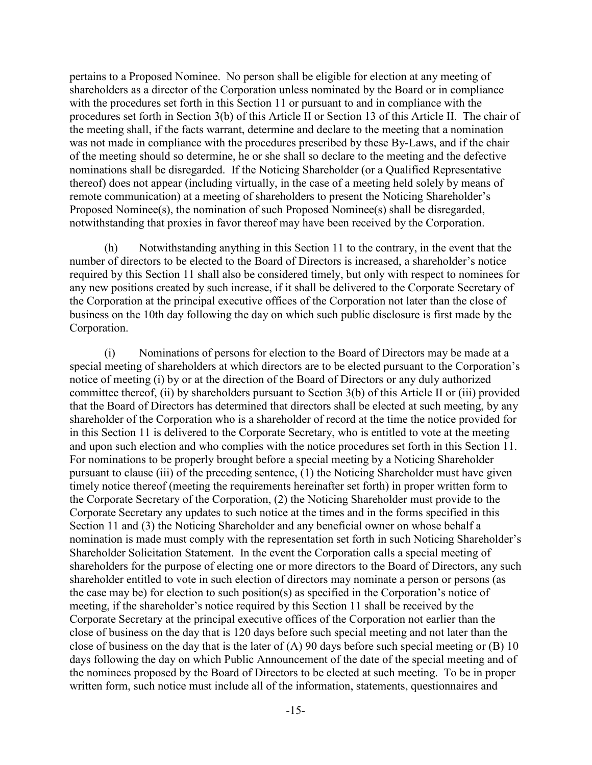pertains to a Proposed Nominee. No person shall be eligible for election at any meeting of shareholders as a director of the Corporation unless nominated by the Board or in compliance with the procedures set forth in this [Section](#page-7-0) 11 or pursuant to and in compliance with the procedures set forth in [Section](#page-1-3) 3(b) of this [Article](#page-0-0) II or [Section](#page-16-0) 13 of this [Article](#page-0-0) II. The chair of the meeting shall, if the facts warrant, determine and declare to the meeting that a nomination was not made in compliance with the procedures prescribed by these By-Laws, and if the chair of the meeting should so determine, he or she shall so declare to the meeting and the defective nominations shall be disregarded. If the Noticing Shareholder (or a Qualified Representative thereof) does not appear (including virtually, in the case of a meeting held solely by means of remote communication) at a meeting of shareholders to present the Noticing Shareholder's Proposed Nominee(s), the nomination of such Proposed Nominee(s) shall be disregarded, notwithstanding that proxies in favor thereof may have been received by the Corporation.

(h) Notwithstanding anything in this [Section](#page-7-0) 11 to the contrary, in the event that the number of directors to be elected to the Board of Directors is increased, a shareholder's notice required by this [Section](#page-7-0) 11 shall also be considered timely, but only with respect to nominees for any new positions created by such increase, if it shall be delivered to the Corporate Secretary of the Corporation at the principal executive offices of the Corporation not later than the close of business on the 10th day following the day on which such public disclosure is first made by the Corporation.

(i) Nominations of persons for election to the Board of Directors may be made at a special meeting of shareholders at which directors are to be elected pursuant to the Corporation's notice of meeting (i) by or at the direction of the Board of Directors or any duly authorized committee thereof, (ii) by shareholders pursuant to [Section](#page-1-3) 3(b) of this [Article](#page-0-0) II or (iii) provided that the Board of Directors has determined that directors shall be elected at such meeting, by any shareholder of the Corporation who is a shareholder of record at the time the notice provided for in this [Section](#page-7-0) 11 is delivered to the Corporate Secretary, who is entitled to vote at the meeting and upon such election and who complies with the notice procedures set forth in this [Section](#page-7-0) 11. For nominations to be properly brought before a special meeting by a Noticing Shareholder pursuant to clause (iii) of the preceding sentence, (1) the Noticing Shareholder must have given timely notice thereof (meeting the requirements hereinafter set forth) in proper written form to the Corporate Secretary of the Corporation, (2) the Noticing Shareholder must provide to the Corporate Secretary any updates to such notice at the times and in the forms specified in this [Section](#page-7-0) 11 and (3) the Noticing Shareholder and any beneficial owner on whose behalf a nomination is made must comply with the representation set forth in such Noticing Shareholder's Shareholder Solicitation Statement. In the event the Corporation calls a special meeting of shareholders for the purpose of electing one or more directors to the Board of Directors, any such shareholder entitled to vote in such election of directors may nominate a person or persons (as the case may be) for election to such position(s) as specified in the Corporation's notice of meeting, if the shareholder's notice required by this [Section](#page-7-0) 11 shall be received by the Corporate Secretary at the principal executive offices of the Corporation not earlier than the close of business on the day that is 120 days before such special meeting and not later than the close of business on the day that is the later of  $(A)$  90 days before such special meeting or  $(B)$  10 days following the day on which Public Announcement of the date of the special meeting and of the nominees proposed by the Board of Directors to be elected at such meeting. To be in proper written form, such notice must include all of the information, statements, questionnaires and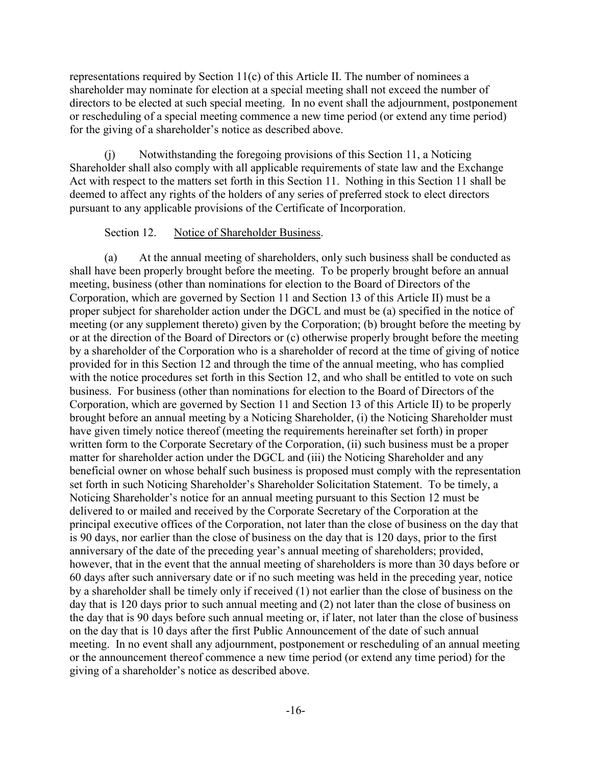representations required by [Section](#page-7-0) 1[1\(c\)](#page-7-0) of this [Article](#page-0-0) II. The number of nominees a shareholder may nominate for election at a special meeting shall not exceed the number of directors to be elected at such special meeting. In no event shall the adjournment, postponement or rescheduling of a special meeting commence a new time period (or extend any time period) for the giving of a shareholder's notice as described above.

(j) Notwithstanding the foregoing provisions of this [Section](#page-7-0) 11, a Noticing Shareholder shall also comply with all applicable requirements of state law and the Exchange Act with respect to the matters set forth in this [Section](#page-7-0) 11. Nothing in this [Section](#page-7-0) 11 shall be deemed to affect any rights of the holders of any series of preferred stock to elect directors pursuant to any applicable provisions of the Certificate of Incorporation.

## Section 12. Notice of Shareholder Business.

<span id="page-15-0"></span>(a) At the annual meeting of shareholders, only such business shall be conducted as shall have been properly brought before the meeting. To be properly brought before an annual meeting, business (other than nominations for election to the Board of Directors of the Corporation, which are governed by [Section](#page-7-0) 11 and [Section](#page-16-0) 13 of this [Article](#page-0-0) II) must be a proper subject for shareholder action under the DGCL and must be (a) specified in the notice of meeting (or any supplement thereto) given by the Corporation; (b) brought before the meeting by or at the direction of the Board of Directors or (c) otherwise properly brought before the meeting by a shareholder of the Corporation who is a shareholder of record at the time of giving of notice provided for in this [Section](#page-15-0) 12 and through the time of the annual meeting, who has complied with the notice procedures set forth in this [Section](#page-15-0) 12, and who shall be entitled to vote on such business. For business (other than nominations for election to the Board of Directors of the Corporation, which are governed by [Section](#page-7-0) 11 and [Section](#page-16-0) 13 of this [Article](#page-0-0) II) to be properly brought before an annual meeting by a Noticing Shareholder, (i) the Noticing Shareholder must have given timely notice thereof (meeting the requirements hereinafter set forth) in proper written form to the Corporate Secretary of the Corporation, (ii) such business must be a proper matter for shareholder action under the DGCL and (iii) the Noticing Shareholder and any beneficial owner on whose behalf such business is proposed must comply with the representation set forth in such Noticing Shareholder's Shareholder Solicitation Statement. To be timely, a Noticing Shareholder's notice for an annual meeting pursuant to this [Section](#page-15-0) 12 must be delivered to or mailed and received by the Corporate Secretary of the Corporation at the principal executive offices of the Corporation, not later than the close of business on the day that is 90 days, nor earlier than the close of business on the day that is 120 days, prior to the first anniversary of the date of the preceding year's annual meeting of shareholders; provided, however, that in the event that the annual meeting of shareholders is more than 30 days before or 60 days after such anniversary date or if no such meeting was held in the preceding year, notice by a shareholder shall be timely only if received (1) not earlier than the close of business on the day that is 120 days prior to such annual meeting and (2) not later than the close of business on the day that is 90 days before such annual meeting or, if later, not later than the close of business on the day that is 10 days after the first Public Announcement of the date of such annual meeting. In no event shall any adjournment, postponement or rescheduling of an annual meeting or the announcement thereof commence a new time period (or extend any time period) for the giving of a shareholder's notice as described above.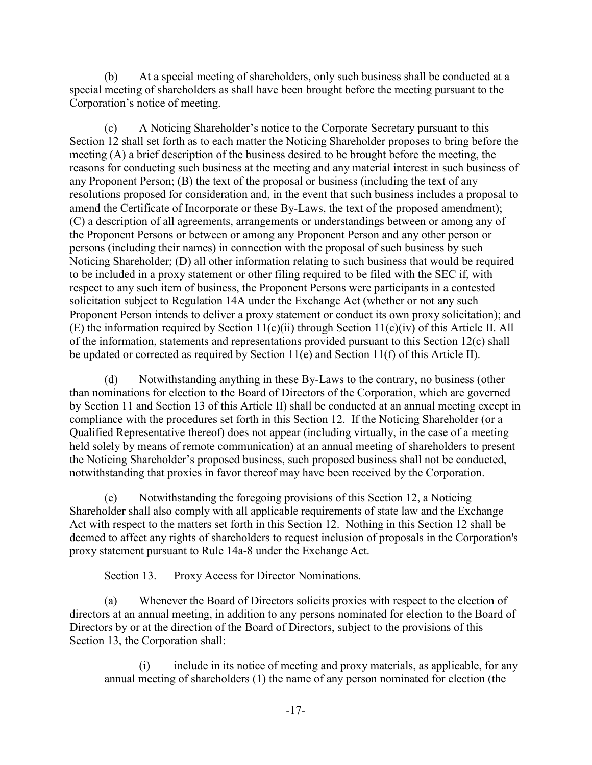(b) At a special meeting of shareholders, only such business shall be conducted at a special meeting of shareholders as shall have been brought before the meeting pursuant to the Corporation's notice of meeting.

<span id="page-16-1"></span>(c) A Noticing Shareholder's notice to the Corporate Secretary pursuant to this [Section](#page-15-0) 12 shall set forth as to each matter the Noticing Shareholder proposes to bring before the meeting (A) a brief description of the business desired to be brought before the meeting, the reasons for conducting such business at the meeting and any material interest in such business of any Proponent Person; (B) the text of the proposal or business (including the text of any resolutions proposed for consideration and, in the event that such business includes a proposal to amend the Certificate of Incorporate or these By-Laws, the text of the proposed amendment); (C) a description of all agreements, arrangements or understandings between or among any of the Proponent Persons or between or among any Proponent Person and any other person or persons (including their names) in connection with the proposal of such business by such Noticing Shareholder; (D) all other information relating to such business that would be required to be included in a proxy statement or other filing required to be filed with the SEC if, with respect to any such item of business, the Proponent Persons were participants in a contested solicitation subject to Regulation 14A under the Exchange Act (whether or not any such Proponent Person intends to deliver a proxy statement or conduct its own proxy solicitation); and (E) the information required by [Section](#page-7-0) 1[1\(c\)](#page-7-0)[\(ii\)](#page-10-0) through [Section](#page-7-0) 1[1\(c\)\(iv\)](#page-7-0) of this [Article](#page-0-0) II. All of the information, statements and representations provided pursuant to this [Section](#page-15-0) 1[2\(c\)](#page-15-0) shall be updated or corrected as required by [Section](#page-7-0) 1[1\(e\)](#page-7-0) and [Section](#page-7-0) 1[1\(f\)](#page-7-0) of this [Article](#page-0-0) II).

(d) Notwithstanding anything in these By-Laws to the contrary, no business (other than nominations for election to the Board of Directors of the Corporation, which are governed by [Section](#page-7-0) 11 and [Section](#page-16-0) 13 of this [Article](#page-0-0) II) shall be conducted at an annual meeting except in compliance with the procedures set forth in this [Section](#page-15-0) 12. If the Noticing Shareholder (or a Qualified Representative thereof) does not appear (including virtually, in the case of a meeting held solely by means of remote communication) at an annual meeting of shareholders to present the Noticing Shareholder's proposed business, such proposed business shall not be conducted, notwithstanding that proxies in favor thereof may have been received by the Corporation.

(e) Notwithstanding the foregoing provisions of this [Section](#page-15-0) 12, a Noticing Shareholder shall also comply with all applicable requirements of state law and the Exchange Act with respect to the matters set forth in this [Section](#page-15-0) 12. Nothing in this [Section](#page-15-0) 12 shall be deemed to affect any rights of shareholders to request inclusion of proposals in the Corporation's proxy statement pursuant to Rule 14a-8 under the Exchange Act.

# Section 13. Proxy Access for Director Nominations.

<span id="page-16-0"></span>(a) Whenever the Board of Directors solicits proxies with respect to the election of directors at an annual meeting, in addition to any persons nominated for election to the Board of Directors by or at the direction of the Board of Directors, subject to the provisions of this [Section](#page-16-0) 13, the Corporation shall:

include in its notice of meeting and proxy materials, as applicable, for any annual meeting of shareholders (1) the name of any person nominated for election (the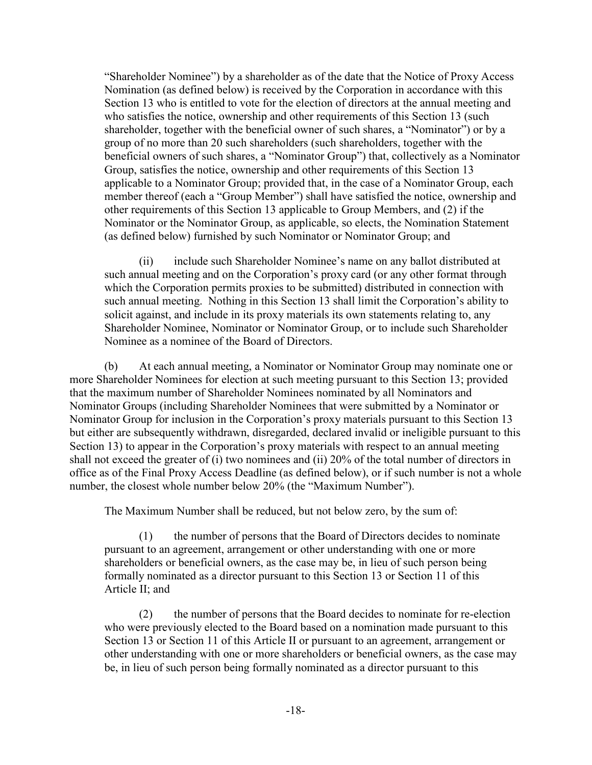"Shareholder Nominee") by a shareholder as of the date that the Notice of Proxy Access Nomination (as defined below) is received by the Corporation in accordance with this [Section](#page-16-0) 13 who is entitled to vote for the election of directors at the annual meeting and who satisfies the notice, ownership and other requirements of this [Section](#page-16-0) 13 (such shareholder, together with the beneficial owner of such shares, a "Nominator") or by a group of no more than 20 such shareholders (such shareholders, together with the beneficial owners of such shares, a "Nominator Group") that, collectively as a Nominator Group, satisfies the notice, ownership and other requirements of this [Section](#page-16-0) 13 applicable to a Nominator Group; provided that, in the case of a Nominator Group, each member thereof (each a "Group Member") shall have satisfied the notice, ownership and other requirements of this [Section](#page-16-0) 13 applicable to Group Members, and (2) if the Nominator or the Nominator Group, as applicable, so elects, the Nomination Statement (as defined below) furnished by such Nominator or Nominator Group; and

(ii) include such Shareholder Nominee's name on any ballot distributed at such annual meeting and on the Corporation's proxy card (or any other format through which the Corporation permits proxies to be submitted) distributed in connection with such annual meeting. Nothing in this [Section](#page-16-0) 13 shall limit the Corporation's ability to solicit against, and include in its proxy materials its own statements relating to, any Shareholder Nominee, Nominator or Nominator Group, or to include such Shareholder Nominee as a nominee of the Board of Directors.

(b) At each annual meeting, a Nominator or Nominator Group may nominate one or more Shareholder Nominees for election at such meeting pursuant to this [Section](#page-16-0) 13; provided that the maximum number of Shareholder Nominees nominated by all Nominators and Nominator Groups (including Shareholder Nominees that were submitted by a Nominator or Nominator Group for inclusion in the Corporation's proxy materials pursuant to this [Section](#page-16-0) 13 but either are subsequently withdrawn, disregarded, declared invalid or ineligible pursuant to this [Section](#page-16-0) 13) to appear in the Corporation's proxy materials with respect to an annual meeting shall not exceed the greater of (i) two nominees and (ii) 20% of the total number of directors in office as of the Final Proxy Access Deadline (as defined below), or if such number is not a whole number, the closest whole number below 20% (the "Maximum Number").

The Maximum Number shall be reduced, but not below zero, by the sum of:

(1) the number of persons that the Board of Directors decides to nominate pursuant to an agreement, arrangement or other understanding with one or more shareholders or beneficial owners, as the case may be, in lieu of such person being formally nominated as a director pursuant to this [Section](#page-16-0) 13 or [Section](#page-7-0) 11 of this [Article](#page-0-0) II; and

(2) the number of persons that the Board decides to nominate for re-election who were previously elected to the Board based on a nomination made pursuant to this [Section](#page-16-0) 13 or [Section](#page-7-0) 11 of this [Article](#page-0-0) II or pursuant to an agreement, arrangement or other understanding with one or more shareholders or beneficial owners, as the case may be, in lieu of such person being formally nominated as a director pursuant to this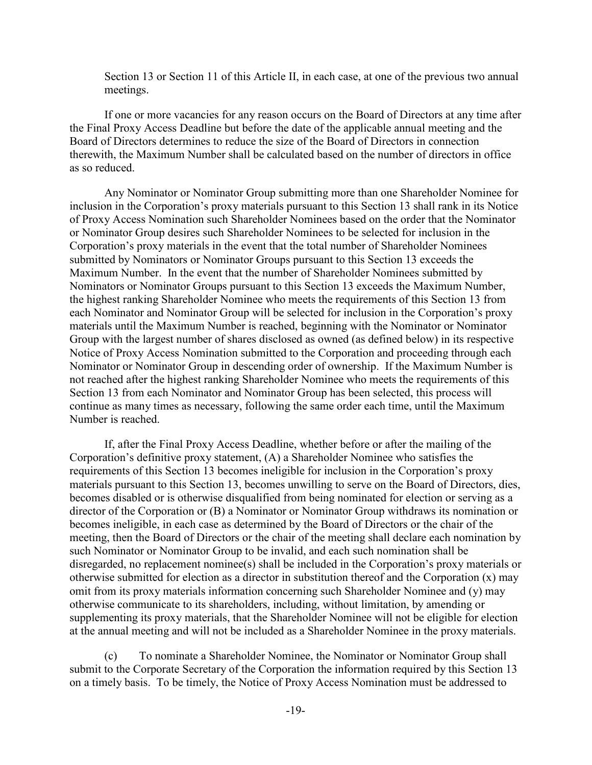[Section](#page-16-0) 13 or [Section](#page-7-0) 11 of this [Article](#page-0-0) II, in each case, at one of the previous two annual meetings.

If one or more vacancies for any reason occurs on the Board of Directors at any time after the Final Proxy Access Deadline but before the date of the applicable annual meeting and the Board of Directors determines to reduce the size of the Board of Directors in connection therewith, the Maximum Number shall be calculated based on the number of directors in office as so reduced.

Any Nominator or Nominator Group submitting more than one Shareholder Nominee for inclusion in the Corporation's proxy materials pursuant to this [Section](#page-16-0) 13 shall rank in its Notice of Proxy Access Nomination such Shareholder Nominees based on the order that the Nominator or Nominator Group desires such Shareholder Nominees to be selected for inclusion in the Corporation's proxy materials in the event that the total number of Shareholder Nominees submitted by Nominators or Nominator Groups pursuant to this [Section](#page-16-0) 13 exceeds the Maximum Number. In the event that the number of Shareholder Nominees submitted by Nominators or Nominator Groups pursuant to this [Section](#page-16-0) 13 exceeds the Maximum Number, the highest ranking Shareholder Nominee who meets the requirements of this [Section](#page-16-0) 13 from each Nominator and Nominator Group will be selected for inclusion in the Corporation's proxy materials until the Maximum Number is reached, beginning with the Nominator or Nominator Group with the largest number of shares disclosed as owned (as defined below) in its respective Notice of Proxy Access Nomination submitted to the Corporation and proceeding through each Nominator or Nominator Group in descending order of ownership. If the Maximum Number is not reached after the highest ranking Shareholder Nominee who meets the requirements of this [Section](#page-16-0) 13 from each Nominator and Nominator Group has been selected, this process will continue as many times as necessary, following the same order each time, until the Maximum Number is reached.

If, after the Final Proxy Access Deadline, whether before or after the mailing of the Corporation's definitive proxy statement, (A) a Shareholder Nominee who satisfies the requirements of this [Section](#page-16-0) 13 becomes ineligible for inclusion in the Corporation's proxy materials pursuant to this [Section](#page-16-0) 13, becomes unwilling to serve on the Board of Directors, dies, becomes disabled or is otherwise disqualified from being nominated for election or serving as a director of the Corporation or (B) a Nominator or Nominator Group withdraws its nomination or becomes ineligible, in each case as determined by the Board of Directors or the chair of the meeting, then the Board of Directors or the chair of the meeting shall declare each nomination by such Nominator or Nominator Group to be invalid, and each such nomination shall be disregarded, no replacement nominee(s) shall be included in the Corporation's proxy materials or otherwise submitted for election as a director in substitution thereof and the Corporation (x) may omit from its proxy materials information concerning such Shareholder Nominee and (y) may otherwise communicate to its shareholders, including, without limitation, by amending or supplementing its proxy materials, that the Shareholder Nominee will not be eligible for election at the annual meeting and will not be included as a Shareholder Nominee in the proxy materials.

<span id="page-18-0"></span>(c) To nominate a Shareholder Nominee, the Nominator or Nominator Group shall submit to the Corporate Secretary of the Corporation the information required by this [Section](#page-16-0) 13 on a timely basis. To be timely, the Notice of Proxy Access Nomination must be addressed to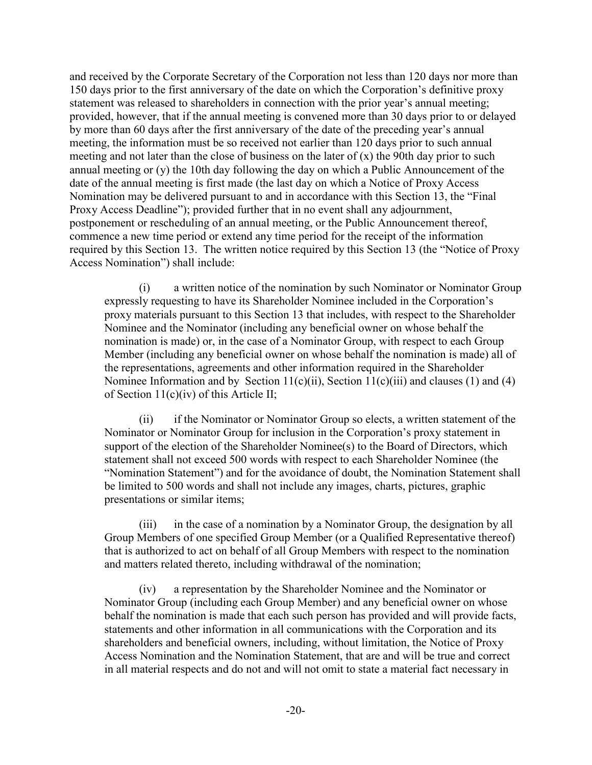and received by the Corporate Secretary of the Corporation not less than 120 days nor more than 150 days prior to the first anniversary of the date on which the Corporation's definitive proxy statement was released to shareholders in connection with the prior year's annual meeting; provided, however, that if the annual meeting is convened more than 30 days prior to or delayed by more than 60 days after the first anniversary of the date of the preceding year's annual meeting, the information must be so received not earlier than 120 days prior to such annual meeting and not later than the close of business on the later of  $(x)$  the 90th day prior to such annual meeting or (y) the 10th day following the day on which a Public Announcement of the date of the annual meeting is first made (the last day on which a Notice of Proxy Access Nomination may be delivered pursuant to and in accordance with this [Section](#page-16-0) 13, the "Final Proxy Access Deadline"); provided further that in no event shall any adjournment, postponement or rescheduling of an annual meeting, or the Public Announcement thereof, commence a new time period or extend any time period for the receipt of the information required by this [Section](#page-16-0) 13. The written notice required by this [Section](#page-16-0) 13 (the "Notice of Proxy Access Nomination") shall include:

(i) a written notice of the nomination by such Nominator or Nominator Group expressly requesting to have its Shareholder Nominee included in the Corporation's proxy materials pursuant to this [Section](#page-16-0) 13 that includes, with respect to the Shareholder Nominee and the Nominator (including any beneficial owner on whose behalf the nomination is made) or, in the case of a Nominator Group, with respect to each Group Member (including any beneficial owner on whose behalf the nomination is made) all of the representations, agreements and other information required in the Shareholder Nominee Information and by [Section](#page-7-0)  $11(c)(ii)$ , Section  $11(c)(iii)$  $11(c)(iii)$  and clauses [\(1\)](#page-11-0) and [\(4\)](#page-12-0) of [Section](#page-7-0) 1[1\(c\)\(iv\)](#page-7-0) of this [Article](#page-0-0) II;

(ii) if the Nominator or Nominator Group so elects, a written statement of the Nominator or Nominator Group for inclusion in the Corporation's proxy statement in support of the election of the Shareholder Nominee(s) to the Board of Directors, which statement shall not exceed 500 words with respect to each Shareholder Nominee (the "Nomination Statement") and for the avoidance of doubt, the Nomination Statement shall be limited to 500 words and shall not include any images, charts, pictures, graphic presentations or similar items;

<span id="page-19-0"></span>(iii) in the case of a nomination by a Nominator Group, the designation by all Group Members of one specified Group Member (or a Qualified Representative thereof) that is authorized to act on behalf of all Group Members with respect to the nomination and matters related thereto, including withdrawal of the nomination;

(iv) a representation by the Shareholder Nominee and the Nominator or Nominator Group (including each Group Member) and any beneficial owner on whose behalf the nomination is made that each such person has provided and will provide facts, statements and other information in all communications with the Corporation and its shareholders and beneficial owners, including, without limitation, the Notice of Proxy Access Nomination and the Nomination Statement, that are and will be true and correct in all material respects and do not and will not omit to state a material fact necessary in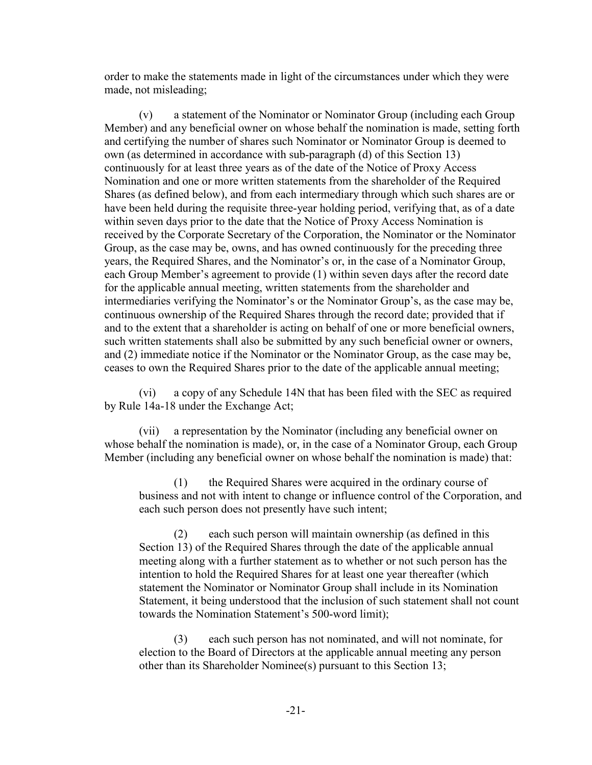order to make the statements made in light of the circumstances under which they were made, not misleading;

(v) a statement of the Nominator or Nominator Group (including each Group Member) and any beneficial owner on whose behalf the nomination is made, setting forth and certifying the number of shares such Nominator or Nominator Group is deemed to own (as determined in accordance with sub-paragraph [\(d\)](#page-22-0) of this [Section](#page-16-0) 13) continuously for at least three years as of the date of the Notice of Proxy Access Nomination and one or more written statements from the shareholder of the Required Shares (as defined below), and from each intermediary through which such shares are or have been held during the requisite three-year holding period, verifying that, as of a date within seven days prior to the date that the Notice of Proxy Access Nomination is received by the Corporate Secretary of the Corporation, the Nominator or the Nominator Group, as the case may be, owns, and has owned continuously for the preceding three years, the Required Shares, and the Nominator's or, in the case of a Nominator Group, each Group Member's agreement to provide (1) within seven days after the record date for the applicable annual meeting, written statements from the shareholder and intermediaries verifying the Nominator's or the Nominator Group's, as the case may be, continuous ownership of the Required Shares through the record date; provided that if and to the extent that a shareholder is acting on behalf of one or more beneficial owners, such written statements shall also be submitted by any such beneficial owner or owners, and (2) immediate notice if the Nominator or the Nominator Group, as the case may be, ceases to own the Required Shares prior to the date of the applicable annual meeting;

(vi) a copy of any Schedule 14N that has been filed with the SEC as required by Rule 14a-18 under the Exchange Act;

(vii) a representation by the Nominator (including any beneficial owner on whose behalf the nomination is made), or, in the case of a Nominator Group, each Group Member (including any beneficial owner on whose behalf the nomination is made) that:

(1) the Required Shares were acquired in the ordinary course of business and not with intent to change or influence control of the Corporation, and each such person does not presently have such intent;

(2) each such person will maintain ownership (as defined in this [Section](#page-16-0) 13) of the Required Shares through the date of the applicable annual meeting along with a further statement as to whether or not such person has the intention to hold the Required Shares for at least one year thereafter (which statement the Nominator or Nominator Group shall include in its Nomination Statement, it being understood that the inclusion of such statement shall not count towards the Nomination Statement's 500-word limit);

(3) each such person has not nominated, and will not nominate, for election to the Board of Directors at the applicable annual meeting any person other than its Shareholder Nominee(s) pursuant to this [Section](#page-16-0) 13;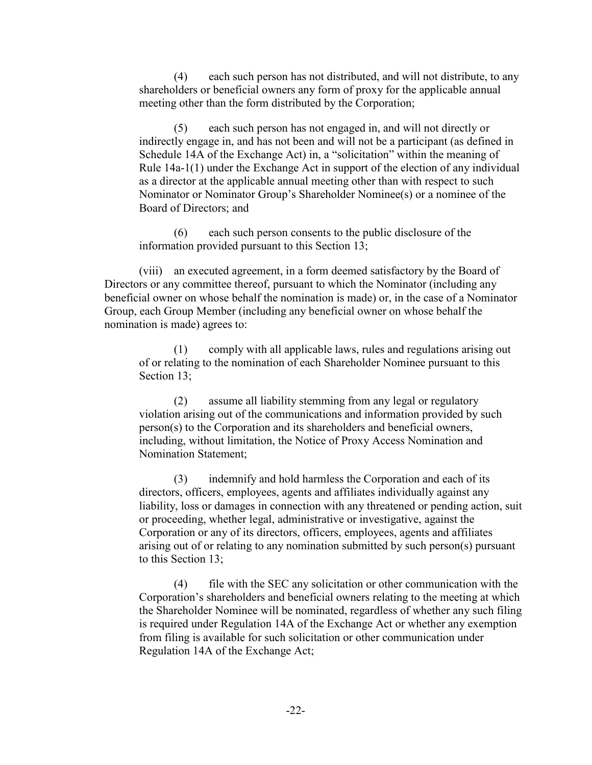(4) each such person has not distributed, and will not distribute, to any shareholders or beneficial owners any form of proxy for the applicable annual meeting other than the form distributed by the Corporation;

(5) each such person has not engaged in, and will not directly or indirectly engage in, and has not been and will not be a participant (as defined in Schedule 14A of the Exchange Act) in, a "solicitation" within the meaning of Rule 14a-1(1) under the Exchange Act in support of the election of any individual as a director at the applicable annual meeting other than with respect to such Nominator or Nominator Group's Shareholder Nominee(s) or a nominee of the Board of Directors; and

(6) each such person consents to the public disclosure of the information provided pursuant to this [Section](#page-16-0) 13;

(viii) an executed agreement, in a form deemed satisfactory by the Board of Directors or any committee thereof, pursuant to which the Nominator (including any beneficial owner on whose behalf the nomination is made) or, in the case of a Nominator Group, each Group Member (including any beneficial owner on whose behalf the nomination is made) agrees to:

(1) comply with all applicable laws, rules and regulations arising out of or relating to the nomination of each Shareholder Nominee pursuant to this [Section](#page-16-0) 13:

(2) assume all liability stemming from any legal or regulatory violation arising out of the communications and information provided by such person(s) to the Corporation and its shareholders and beneficial owners, including, without limitation, the Notice of Proxy Access Nomination and Nomination Statement;

(3) indemnify and hold harmless the Corporation and each of its directors, officers, employees, agents and affiliates individually against any liability, loss or damages in connection with any threatened or pending action, suit or proceeding, whether legal, administrative or investigative, against the Corporation or any of its directors, officers, employees, agents and affiliates arising out of or relating to any nomination submitted by such person(s) pursuant to this [Section](#page-16-0) 13;

(4) file with the SEC any solicitation or other communication with the Corporation's shareholders and beneficial owners relating to the meeting at which the Shareholder Nominee will be nominated, regardless of whether any such filing is required under Regulation 14A of the Exchange Act or whether any exemption from filing is available for such solicitation or other communication under Regulation 14A of the Exchange Act;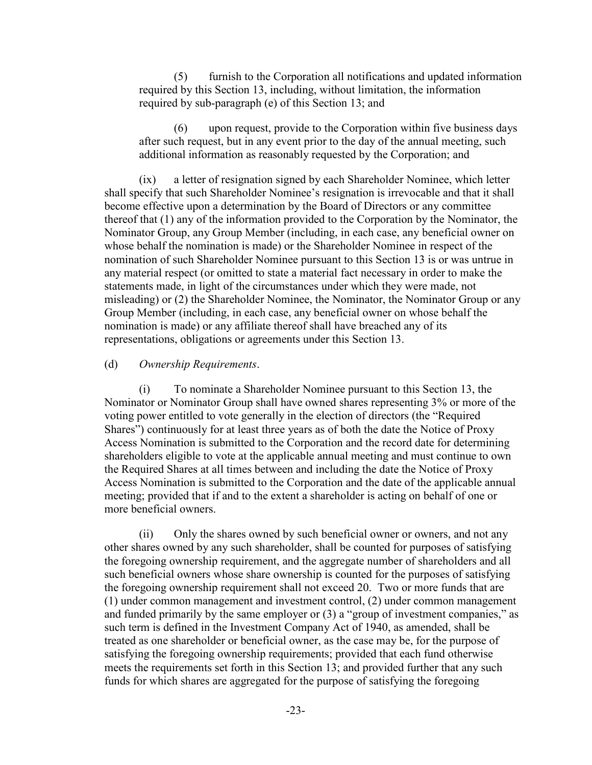(5) furnish to the Corporation all notifications and updated information required by this [Section](#page-16-0) 13, including, without limitation, the information required by sub-paragraph [\(e\)](#page-23-0) of this [Section](#page-16-0) 13; and

(6) upon request, provide to the Corporation within five business days after such request, but in any event prior to the day of the annual meeting, such additional information as reasonably requested by the Corporation; and

(ix) a letter of resignation signed by each Shareholder Nominee, which letter shall specify that such Shareholder Nominee's resignation is irrevocable and that it shall become effective upon a determination by the Board of Directors or any committee thereof that (1) any of the information provided to the Corporation by the Nominator, the Nominator Group, any Group Member (including, in each case, any beneficial owner on whose behalf the nomination is made) or the Shareholder Nominee in respect of the nomination of such Shareholder Nominee pursuant to this [Section](#page-16-0) 13 is or was untrue in any material respect (or omitted to state a material fact necessary in order to make the statements made, in light of the circumstances under which they were made, not misleading) or (2) the Shareholder Nominee, the Nominator, the Nominator Group or any Group Member (including, in each case, any beneficial owner on whose behalf the nomination is made) or any affiliate thereof shall have breached any of its representations, obligations or agreements under this [Section](#page-16-0) 13.

#### <span id="page-22-0"></span>(d) *Ownership Requirements*.

(i) To nominate a Shareholder Nominee pursuant to this [Section](#page-16-0) 13, the Nominator or Nominator Group shall have owned shares representing 3% or more of the voting power entitled to vote generally in the election of directors (the "Required Shares") continuously for at least three years as of both the date the Notice of Proxy Access Nomination is submitted to the Corporation and the record date for determining shareholders eligible to vote at the applicable annual meeting and must continue to own the Required Shares at all times between and including the date the Notice of Proxy Access Nomination is submitted to the Corporation and the date of the applicable annual meeting; provided that if and to the extent a shareholder is acting on behalf of one or more beneficial owners.

(ii) Only the shares owned by such beneficial owner or owners, and not any other shares owned by any such shareholder, shall be counted for purposes of satisfying the foregoing ownership requirement, and the aggregate number of shareholders and all such beneficial owners whose share ownership is counted for the purposes of satisfying the foregoing ownership requirement shall not exceed 20. Two or more funds that are (1) under common management and investment control, (2) under common management and funded primarily by the same employer or (3) a "group of investment companies," as such term is defined in the Investment Company Act of 1940, as amended, shall be treated as one shareholder or beneficial owner, as the case may be, for the purpose of satisfying the foregoing ownership requirements; provided that each fund otherwise meets the requirements set forth in this [Section](#page-16-0) 13; and provided further that any such funds for which shares are aggregated for the purpose of satisfying the foregoing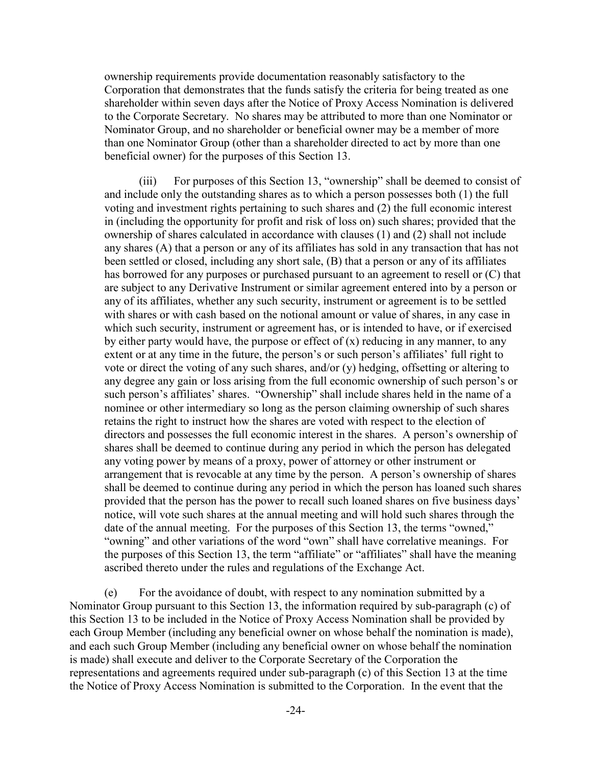ownership requirements provide documentation reasonably satisfactory to the Corporation that demonstrates that the funds satisfy the criteria for being treated as one shareholder within seven days after the Notice of Proxy Access Nomination is delivered to the Corporate Secretary. No shares may be attributed to more than one Nominator or Nominator Group, and no shareholder or beneficial owner may be a member of more than one Nominator Group (other than a shareholder directed to act by more than one beneficial owner) for the purposes of this [Section](#page-16-0) 13.

(iii) For purposes of this [Section](#page-16-0) 13, "ownership" shall be deemed to consist of and include only the outstanding shares as to which a person possesses both (1) the full voting and investment rights pertaining to such shares and (2) the full economic interest in (including the opportunity for profit and risk of loss on) such shares; provided that the ownership of shares calculated in accordance with clauses (1) and (2) shall not include any shares (A) that a person or any of its affiliates has sold in any transaction that has not been settled or closed, including any short sale, (B) that a person or any of its affiliates has borrowed for any purposes or purchased pursuant to an agreement to resell or (C) that are subject to any Derivative Instrument or similar agreement entered into by a person or any of its affiliates, whether any such security, instrument or agreement is to be settled with shares or with cash based on the notional amount or value of shares, in any case in which such security, instrument or agreement has, or is intended to have, or if exercised by either party would have, the purpose or effect of  $(x)$  reducing in any manner, to any extent or at any time in the future, the person's or such person's affiliates' full right to vote or direct the voting of any such shares, and/or (y) hedging, offsetting or altering to any degree any gain or loss arising from the full economic ownership of such person's or such person's affiliates' shares. "Ownership" shall include shares held in the name of a nominee or other intermediary so long as the person claiming ownership of such shares retains the right to instruct how the shares are voted with respect to the election of directors and possesses the full economic interest in the shares. A person's ownership of shares shall be deemed to continue during any period in which the person has delegated any voting power by means of a proxy, power of attorney or other instrument or arrangement that is revocable at any time by the person. A person's ownership of shares shall be deemed to continue during any period in which the person has loaned such shares provided that the person has the power to recall such loaned shares on five business days' notice, will vote such shares at the annual meeting and will hold such shares through the date of the annual meeting. For the purposes of this [Section](#page-16-0) 13, the terms "owned," "owning" and other variations of the word "own" shall have correlative meanings. For the purposes of this [Section](#page-16-0) 13, the term "affiliate" or "affiliates" shall have the meaning ascribed thereto under the rules and regulations of the Exchange Act.

<span id="page-23-0"></span>(e) For the avoidance of doubt, with respect to any nomination submitted by a Nominator Group pursuant to this [Section](#page-16-0) 13, the information required by sub-paragraph [\(c\)](#page-18-0) of this [Section](#page-16-0) 13 to be included in the Notice of Proxy Access Nomination shall be provided by each Group Member (including any beneficial owner on whose behalf the nomination is made), and each such Group Member (including any beneficial owner on whose behalf the nomination is made) shall execute and deliver to the Corporate Secretary of the Corporation the representations and agreements required under sub-paragraph [\(c\)](#page-18-0) of this [Section](#page-16-0) 13 at the time the Notice of Proxy Access Nomination is submitted to the Corporation. In the event that the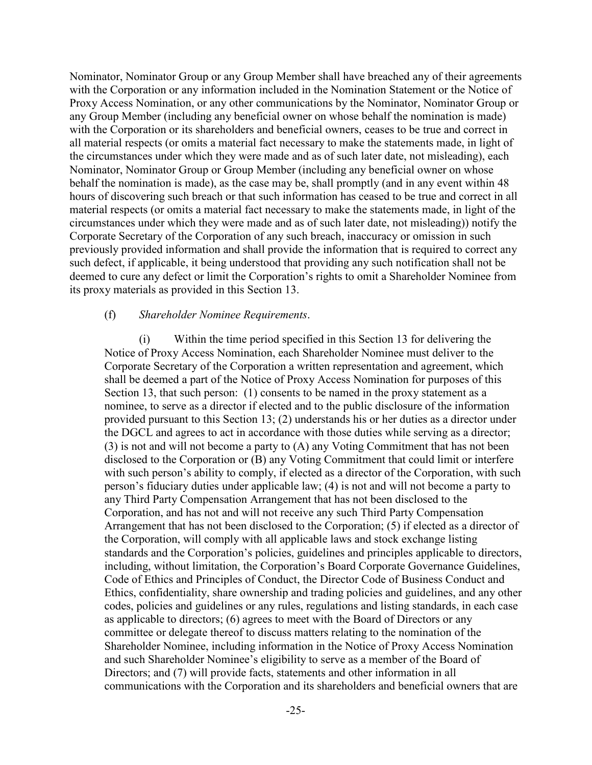Nominator, Nominator Group or any Group Member shall have breached any of their agreements with the Corporation or any information included in the Nomination Statement or the Notice of Proxy Access Nomination, or any other communications by the Nominator, Nominator Group or any Group Member (including any beneficial owner on whose behalf the nomination is made) with the Corporation or its shareholders and beneficial owners, ceases to be true and correct in all material respects (or omits a material fact necessary to make the statements made, in light of the circumstances under which they were made and as of such later date, not misleading), each Nominator, Nominator Group or Group Member (including any beneficial owner on whose behalf the nomination is made), as the case may be, shall promptly (and in any event within 48 hours of discovering such breach or that such information has ceased to be true and correct in all material respects (or omits a material fact necessary to make the statements made, in light of the circumstances under which they were made and as of such later date, not misleading)) notify the Corporate Secretary of the Corporation of any such breach, inaccuracy or omission in such previously provided information and shall provide the information that is required to correct any such defect, if applicable, it being understood that providing any such notification shall not be deemed to cure any defect or limit the Corporation's rights to omit a Shareholder Nominee from its proxy materials as provided in this [Section](#page-16-0) 13.

## (f) *Shareholder Nominee Requirements*.

(i) Within the time period specified in this [Section](#page-16-0) 13 for delivering the Notice of Proxy Access Nomination, each Shareholder Nominee must deliver to the Corporate Secretary of the Corporation a written representation and agreement, which shall be deemed a part of the Notice of Proxy Access Nomination for purposes of this [Section](#page-16-0) 13, that such person: (1) consents to be named in the proxy statement as a nominee, to serve as a director if elected and to the public disclosure of the information provided pursuant to this [Section](#page-16-0) 13; (2) understands his or her duties as a director under the DGCL and agrees to act in accordance with those duties while serving as a director; (3) is not and will not become a party to (A) any Voting Commitment that has not been disclosed to the Corporation or (B) any Voting Commitment that could limit or interfere with such person's ability to comply, if elected as a director of the Corporation, with such person's fiduciary duties under applicable law; (4) is not and will not become a party to any Third Party Compensation Arrangement that has not been disclosed to the Corporation, and has not and will not receive any such Third Party Compensation Arrangement that has not been disclosed to the Corporation; (5) if elected as a director of the Corporation, will comply with all applicable laws and stock exchange listing standards and the Corporation's policies, guidelines and principles applicable to directors, including, without limitation, the Corporation's Board Corporate Governance Guidelines, Code of Ethics and Principles of Conduct, the Director Code of Business Conduct and Ethics, confidentiality, share ownership and trading policies and guidelines, and any other codes, policies and guidelines or any rules, regulations and listing standards, in each case as applicable to directors; (6) agrees to meet with the Board of Directors or any committee or delegate thereof to discuss matters relating to the nomination of the Shareholder Nominee, including information in the Notice of Proxy Access Nomination and such Shareholder Nominee's eligibility to serve as a member of the Board of Directors; and (7) will provide facts, statements and other information in all communications with the Corporation and its shareholders and beneficial owners that are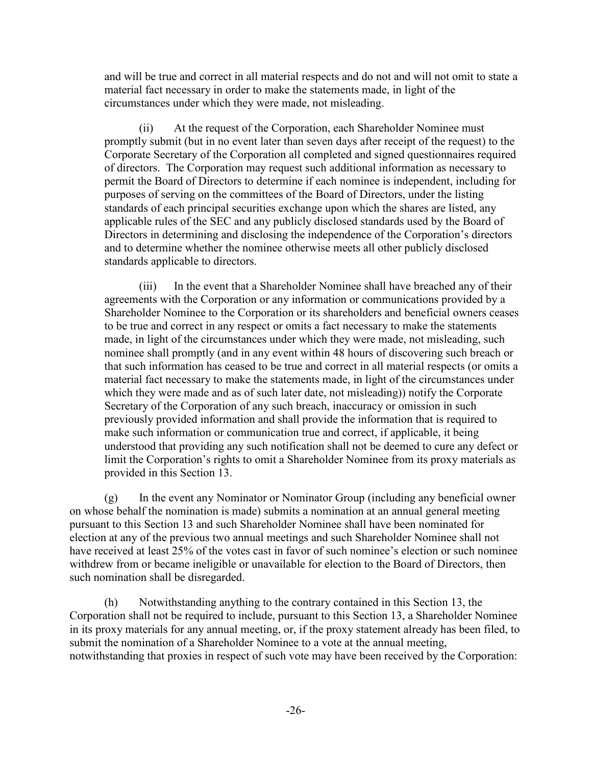and will be true and correct in all material respects and do not and will not omit to state a material fact necessary in order to make the statements made, in light of the circumstances under which they were made, not misleading.

(ii) At the request of the Corporation, each Shareholder Nominee must promptly submit (but in no event later than seven days after receipt of the request) to the Corporate Secretary of the Corporation all completed and signed questionnaires required of directors. The Corporation may request such additional information as necessary to permit the Board of Directors to determine if each nominee is independent, including for purposes of serving on the committees of the Board of Directors, under the listing standards of each principal securities exchange upon which the shares are listed, any applicable rules of the SEC and any publicly disclosed standards used by the Board of Directors in determining and disclosing the independence of the Corporation's directors and to determine whether the nominee otherwise meets all other publicly disclosed standards applicable to directors.

(iii) In the event that a Shareholder Nominee shall have breached any of their agreements with the Corporation or any information or communications provided by a Shareholder Nominee to the Corporation or its shareholders and beneficial owners ceases to be true and correct in any respect or omits a fact necessary to make the statements made, in light of the circumstances under which they were made, not misleading, such nominee shall promptly (and in any event within 48 hours of discovering such breach or that such information has ceased to be true and correct in all material respects (or omits a material fact necessary to make the statements made, in light of the circumstances under which they were made and as of such later date, not misleading)) notify the Corporate Secretary of the Corporation of any such breach, inaccuracy or omission in such previously provided information and shall provide the information that is required to make such information or communication true and correct, if applicable, it being understood that providing any such notification shall not be deemed to cure any defect or limit the Corporation's rights to omit a Shareholder Nominee from its proxy materials as provided in this [Section](#page-16-0) 13.

(g) In the event any Nominator or Nominator Group (including any beneficial owner on whose behalf the nomination is made) submits a nomination at an annual general meeting pursuant to this [Section](#page-16-0) 13 and such Shareholder Nominee shall have been nominated for election at any of the previous two annual meetings and such Shareholder Nominee shall not have received at least 25% of the votes cast in favor of such nominee's election or such nominee withdrew from or became ineligible or unavailable for election to the Board of Directors, then such nomination shall be disregarded.

<span id="page-25-0"></span>(h) Notwithstanding anything to the contrary contained in this [Section](#page-16-0) 13, the Corporation shall not be required to include, pursuant to this [Section](#page-16-0) 13, a Shareholder Nominee in its proxy materials for any annual meeting, or, if the proxy statement already has been filed, to submit the nomination of a Shareholder Nominee to a vote at the annual meeting, notwithstanding that proxies in respect of such vote may have been received by the Corporation: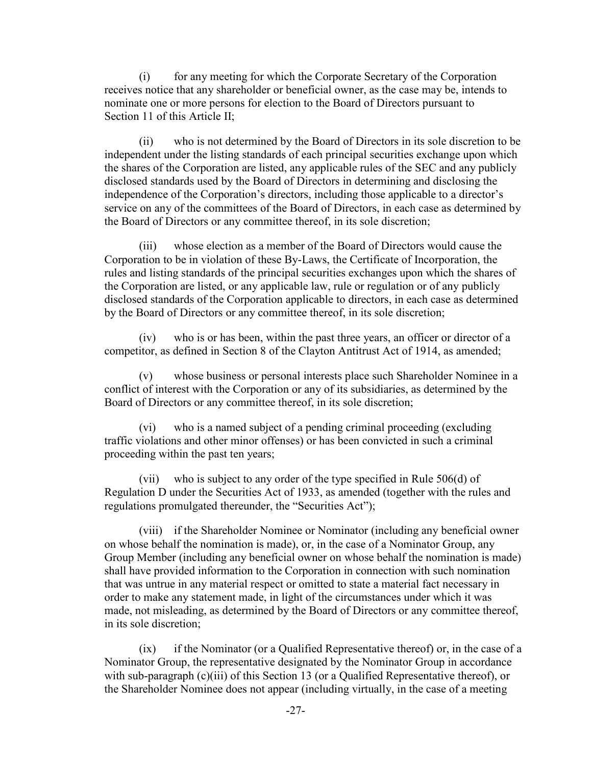(i) for any meeting for which the Corporate Secretary of the Corporation receives notice that any shareholder or beneficial owner, as the case may be, intends to nominate one or more persons for election to the Board of Directors pursuant to [Section](#page-7-0) 11 of this [Article](#page-0-0) II;

<span id="page-26-0"></span>(ii) who is not determined by the Board of Directors in its sole discretion to be independent under the listing standards of each principal securities exchange upon which the shares of the Corporation are listed, any applicable rules of the SEC and any publicly disclosed standards used by the Board of Directors in determining and disclosing the independence of the Corporation's directors, including those applicable to a director's service on any of the committees of the Board of Directors, in each case as determined by the Board of Directors or any committee thereof, in its sole discretion;

(iii) whose election as a member of the Board of Directors would cause the Corporation to be in violation of these By-Laws, the Certificate of Incorporation, the rules and listing standards of the principal securities exchanges upon which the shares of the Corporation are listed, or any applicable law, rule or regulation or of any publicly disclosed standards of the Corporation applicable to directors, in each case as determined by the Board of Directors or any committee thereof, in its sole discretion;

(iv) who is or has been, within the past three years, an officer or director of a competitor, as defined in Section 8 of the Clayton Antitrust Act of 1914, as amended;

(v) whose business or personal interests place such Shareholder Nominee in a conflict of interest with the Corporation or any of its subsidiaries, as determined by the Board of Directors or any committee thereof, in its sole discretion;

(vi) who is a named subject of a pending criminal proceeding (excluding traffic violations and other minor offenses) or has been convicted in such a criminal proceeding within the past ten years;

(vii) who is subject to any order of the type specified in Rule 506(d) of Regulation D under the Securities Act of 1933, as amended (together with the rules and regulations promulgated thereunder, the "Securities Act");

(viii) if the Shareholder Nominee or Nominator (including any beneficial owner on whose behalf the nomination is made), or, in the case of a Nominator Group, any Group Member (including any beneficial owner on whose behalf the nomination is made) shall have provided information to the Corporation in connection with such nomination that was untrue in any material respect or omitted to state a material fact necessary in order to make any statement made, in light of the circumstances under which it was made, not misleading, as determined by the Board of Directors or any committee thereof, in its sole discretion;

(ix) if the Nominator (or a Qualified Representative thereof) or, in the case of a Nominator Group, the representative designated by the Nominator Group in accordance with sub-paragraph [\(c\)\(iii\)](#page-19-0) of this [Section](#page-16-0) 13 (or a Qualified Representative thereof), or the Shareholder Nominee does not appear (including virtually, in the case of a meeting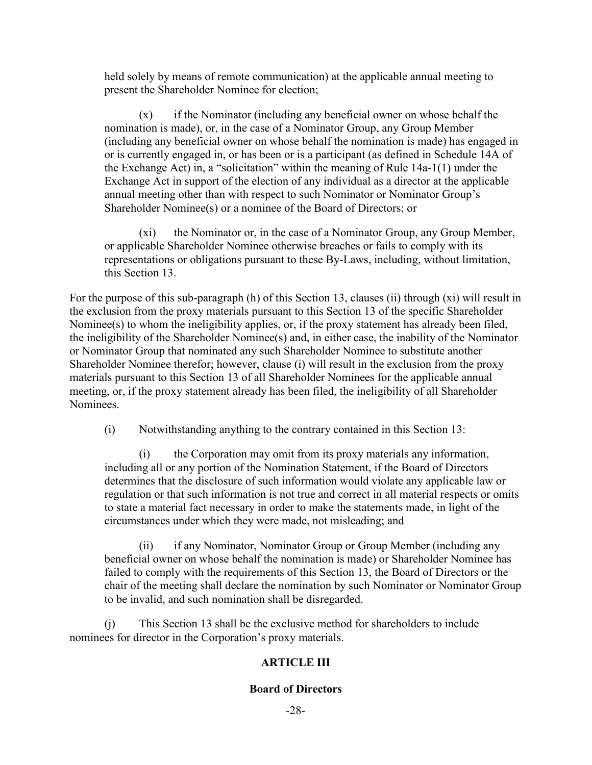held solely by means of remote communication) at the applicable annual meeting to present the Shareholder Nominee for election;

(x) if the Nominator (including any beneficial owner on whose behalf the nomination is made), or, in the case of a Nominator Group, any Group Member (including any beneficial owner on whose behalf the nomination is made) has engaged in or is currently engaged in, or has been or is a participant (as defined in Schedule 14A of the Exchange Act) in, a "solicitation" within the meaning of Rule 14a-1(1) under the Exchange Act in support of the election of any individual as a director at the applicable annual meeting other than with respect to such Nominator or Nominator Group's Shareholder Nominee(s) or a nominee of the Board of Directors; or

<span id="page-27-0"></span>(xi) the Nominator or, in the case of a Nominator Group, any Group Member, or applicable Shareholder Nominee otherwise breaches or fails to comply with its representations or obligations pursuant to these By-Laws, including, without limitation, this [Section](#page-16-0) 13.

For the purpose of this sub-paragraph [\(h\)](#page-25-0) of this [Section](#page-16-0) 13, clauses [\(ii\)](#page-26-0) through [\(xi\)](#page-27-0) will result in the exclusion from the proxy materials pursuant to this [Section](#page-16-0) 13 of the specific Shareholder Nominee(s) to whom the ineligibility applies, or, if the proxy statement has already been filed, the ineligibility of the Shareholder Nominee(s) and, in either case, the inability of the Nominator or Nominator Group that nominated any such Shareholder Nominee to substitute another Shareholder Nominee therefor; however, clause (i) will result in the exclusion from the proxy materials pursuant to this [Section](#page-16-0) 13 of all Shareholder Nominees for the applicable annual meeting, or, if the proxy statement already has been filed, the ineligibility of all Shareholder Nominees.

(i) Notwithstanding anything to the contrary contained in this [Section](#page-16-0) 13:

(i) the Corporation may omit from its proxy materials any information, including all or any portion of the Nomination Statement, if the Board of Directors determines that the disclosure of such information would violate any applicable law or regulation or that such information is not true and correct in all material respects or omits to state a material fact necessary in order to make the statements made, in light of the circumstances under which they were made, not misleading; and

(ii) if any Nominator, Nominator Group or Group Member (including any beneficial owner on whose behalf the nomination is made) or Shareholder Nominee has failed to comply with the requirements of this [Section](#page-16-0) 13, the Board of Directors or the chair of the meeting shall declare the nomination by such Nominator or Nominator Group to be invalid, and such nomination shall be disregarded.

(j) This [Section](#page-16-0) 13 shall be the exclusive method for shareholders to include nominees for director in the Corporation's proxy materials.

# **ARTICLE III**

# **Board of Directors**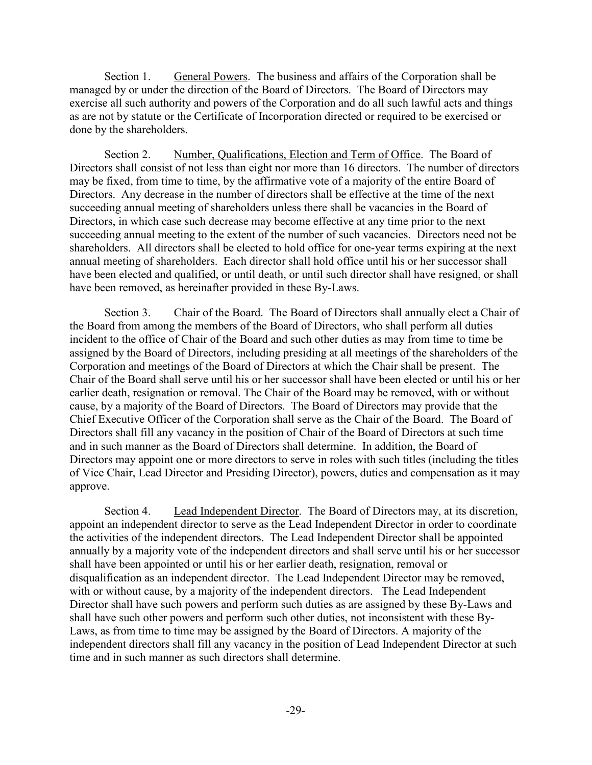Section 1. General Powers. The business and affairs of the Corporation shall be managed by or under the direction of the Board of Directors. The Board of Directors may exercise all such authority and powers of the Corporation and do all such lawful acts and things as are not by statute or the Certificate of Incorporation directed or required to be exercised or done by the shareholders.

Section 2. Number, Qualifications, Election and Term of Office. The Board of Directors shall consist of not less than eight nor more than 16 directors. The number of directors may be fixed, from time to time, by the affirmative vote of a majority of the entire Board of Directors. Any decrease in the number of directors shall be effective at the time of the next succeeding annual meeting of shareholders unless there shall be vacancies in the Board of Directors, in which case such decrease may become effective at any time prior to the next succeeding annual meeting to the extent of the number of such vacancies. Directors need not be shareholders. All directors shall be elected to hold office for one-year terms expiring at the next annual meeting of shareholders. Each director shall hold office until his or her successor shall have been elected and qualified, or until death, or until such director shall have resigned, or shall have been removed, as hereinafter provided in these By-Laws.

Section 3. Chair of the Board. The Board of Directors shall annually elect a Chair of the Board from among the members of the Board of Directors, who shall perform all duties incident to the office of Chair of the Board and such other duties as may from time to time be assigned by the Board of Directors, including presiding at all meetings of the shareholders of the Corporation and meetings of the Board of Directors at which the Chair shall be present. The Chair of the Board shall serve until his or her successor shall have been elected or until his or her earlier death, resignation or removal. The Chair of the Board may be removed, with or without cause, by a majority of the Board of Directors. The Board of Directors may provide that the Chief Executive Officer of the Corporation shall serve as the Chair of the Board. The Board of Directors shall fill any vacancy in the position of Chair of the Board of Directors at such time and in such manner as the Board of Directors shall determine. In addition, the Board of Directors may appoint one or more directors to serve in roles with such titles (including the titles of Vice Chair, Lead Director and Presiding Director), powers, duties and compensation as it may approve.

Section 4. Lead Independent Director. The Board of Directors may, at its discretion, appoint an independent director to serve as the Lead Independent Director in order to coordinate the activities of the independent directors. The Lead Independent Director shall be appointed annually by a majority vote of the independent directors and shall serve until his or her successor shall have been appointed or until his or her earlier death, resignation, removal or disqualification as an independent director. The Lead Independent Director may be removed, with or without cause, by a majority of the independent directors. The Lead Independent Director shall have such powers and perform such duties as are assigned by these By-Laws and shall have such other powers and perform such other duties, not inconsistent with these By-Laws, as from time to time may be assigned by the Board of Directors. A majority of the independent directors shall fill any vacancy in the position of Lead Independent Director at such time and in such manner as such directors shall determine.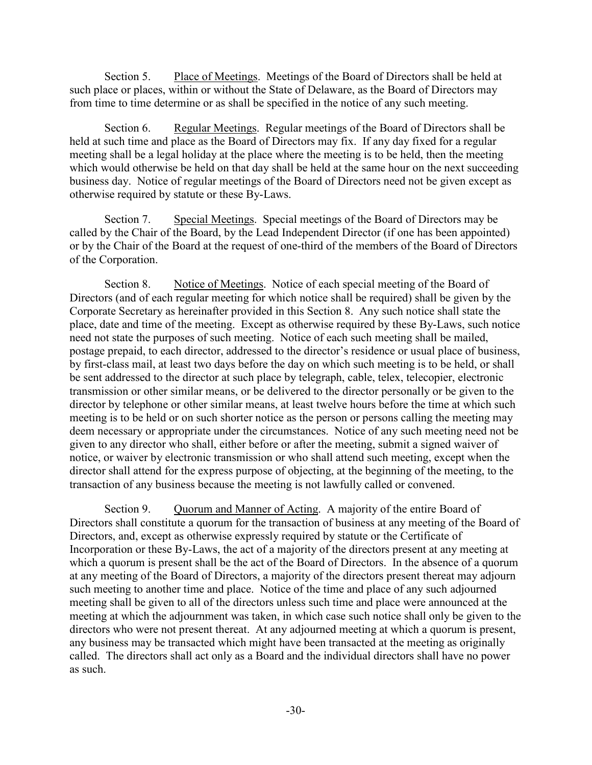Section 5. Place of Meetings. Meetings of the Board of Directors shall be held at such place or places, within or without the State of Delaware, as the Board of Directors may from time to time determine or as shall be specified in the notice of any such meeting.

Section 6. Regular Meetings. Regular meetings of the Board of Directors shall be held at such time and place as the Board of Directors may fix. If any day fixed for a regular meeting shall be a legal holiday at the place where the meeting is to be held, then the meeting which would otherwise be held on that day shall be held at the same hour on the next succeeding business day. Notice of regular meetings of the Board of Directors need not be given except as otherwise required by statute or these By-Laws.

Section 7. Special Meetings. Special meetings of the Board of Directors may be called by the Chair of the Board, by the Lead Independent Director (if one has been appointed) or by the Chair of the Board at the request of one-third of the members of the Board of Directors of the Corporation.

<span id="page-29-0"></span>Section 8. Notice of Meetings. Notice of each special meeting of the Board of Directors (and of each regular meeting for which notice shall be required) shall be given by the Corporate Secretary as hereinafter provided in this [Section](#page-29-0) 8. Any such notice shall state the place, date and time of the meeting. Except as otherwise required by these By-Laws, such notice need not state the purposes of such meeting. Notice of each such meeting shall be mailed, postage prepaid, to each director, addressed to the director's residence or usual place of business, by first-class mail, at least two days before the day on which such meeting is to be held, or shall be sent addressed to the director at such place by telegraph, cable, telex, telecopier, electronic transmission or other similar means, or be delivered to the director personally or be given to the director by telephone or other similar means, at least twelve hours before the time at which such meeting is to be held or on such shorter notice as the person or persons calling the meeting may deem necessary or appropriate under the circumstances. Notice of any such meeting need not be given to any director who shall, either before or after the meeting, submit a signed waiver of notice, or waiver by electronic transmission or who shall attend such meeting, except when the director shall attend for the express purpose of objecting, at the beginning of the meeting, to the transaction of any business because the meeting is not lawfully called or convened.

Section 9. Quorum and Manner of Acting. A majority of the entire Board of Directors shall constitute a quorum for the transaction of business at any meeting of the Board of Directors, and, except as otherwise expressly required by statute or the Certificate of Incorporation or these By-Laws, the act of a majority of the directors present at any meeting at which a quorum is present shall be the act of the Board of Directors. In the absence of a quorum at any meeting of the Board of Directors, a majority of the directors present thereat may adjourn such meeting to another time and place. Notice of the time and place of any such adjourned meeting shall be given to all of the directors unless such time and place were announced at the meeting at which the adjournment was taken, in which case such notice shall only be given to the directors who were not present thereat. At any adjourned meeting at which a quorum is present, any business may be transacted which might have been transacted at the meeting as originally called. The directors shall act only as a Board and the individual directors shall have no power as such.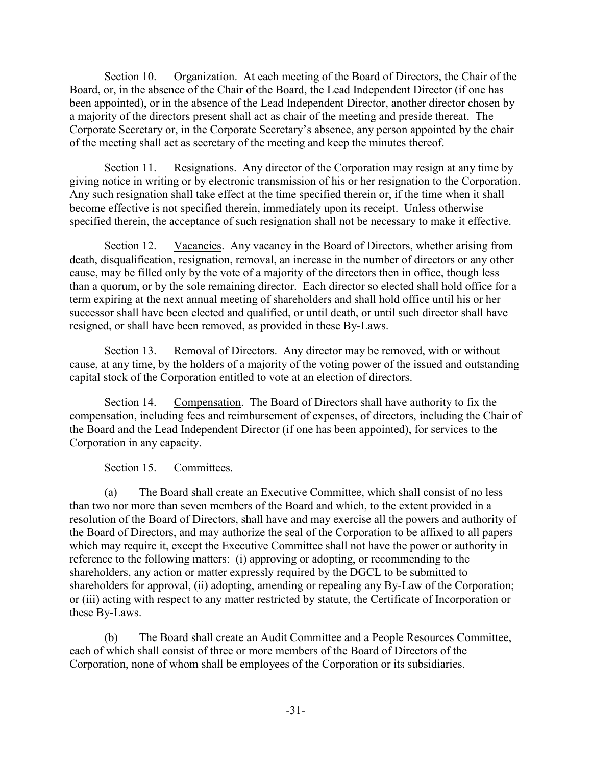Section 10. Organization. At each meeting of the Board of Directors, the Chair of the Board, or, in the absence of the Chair of the Board, the Lead Independent Director (if one has been appointed), or in the absence of the Lead Independent Director, another director chosen by a majority of the directors present shall act as chair of the meeting and preside thereat. The Corporate Secretary or, in the Corporate Secretary's absence, any person appointed by the chair of the meeting shall act as secretary of the meeting and keep the minutes thereof.

Section 11. Resignations. Any director of the Corporation may resign at any time by giving notice in writing or by electronic transmission of his or her resignation to the Corporation. Any such resignation shall take effect at the time specified therein or, if the time when it shall become effective is not specified therein, immediately upon its receipt. Unless otherwise specified therein, the acceptance of such resignation shall not be necessary to make it effective.

Section 12. Vacancies. Any vacancy in the Board of Directors, whether arising from death, disqualification, resignation, removal, an increase in the number of directors or any other cause, may be filled only by the vote of a majority of the directors then in office, though less than a quorum, or by the sole remaining director. Each director so elected shall hold office for a term expiring at the next annual meeting of shareholders and shall hold office until his or her successor shall have been elected and qualified, or until death, or until such director shall have resigned, or shall have been removed, as provided in these By-Laws.

Section 13. Removal of Directors. Any director may be removed, with or without cause, at any time, by the holders of a majority of the voting power of the issued and outstanding capital stock of the Corporation entitled to vote at an election of directors.

Section 14. Compensation. The Board of Directors shall have authority to fix the compensation, including fees and reimbursement of expenses, of directors, including the Chair of the Board and the Lead Independent Director (if one has been appointed), for services to the Corporation in any capacity.

# Section 15. Committees.

(a) The Board shall create an Executive Committee, which shall consist of no less than two nor more than seven members of the Board and which, to the extent provided in a resolution of the Board of Directors, shall have and may exercise all the powers and authority of the Board of Directors, and may authorize the seal of the Corporation to be affixed to all papers which may require it, except the Executive Committee shall not have the power or authority in reference to the following matters: (i) approving or adopting, or recommending to the shareholders, any action or matter expressly required by the DGCL to be submitted to shareholders for approval, (ii) adopting, amending or repealing any By-Law of the Corporation; or (iii) acting with respect to any matter restricted by statute, the Certificate of Incorporation or these By-Laws.

(b) The Board shall create an Audit Committee and a People Resources Committee, each of which shall consist of three or more members of the Board of Directors of the Corporation, none of whom shall be employees of the Corporation or its subsidiaries.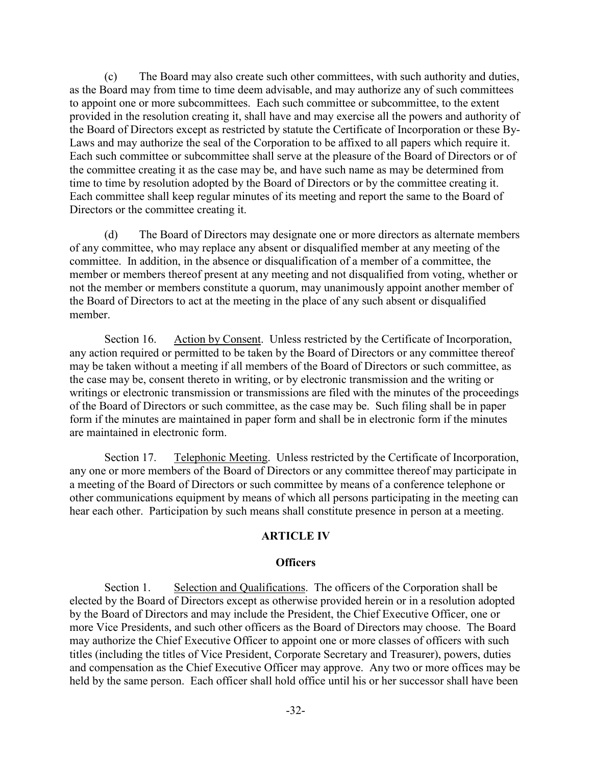(c) The Board may also create such other committees, with such authority and duties, as the Board may from time to time deem advisable, and may authorize any of such committees to appoint one or more subcommittees. Each such committee or subcommittee, to the extent provided in the resolution creating it, shall have and may exercise all the powers and authority of the Board of Directors except as restricted by statute the Certificate of Incorporation or these By-Laws and may authorize the seal of the Corporation to be affixed to all papers which require it. Each such committee or subcommittee shall serve at the pleasure of the Board of Directors or of the committee creating it as the case may be, and have such name as may be determined from time to time by resolution adopted by the Board of Directors or by the committee creating it. Each committee shall keep regular minutes of its meeting and report the same to the Board of Directors or the committee creating it.

(d) The Board of Directors may designate one or more directors as alternate members of any committee, who may replace any absent or disqualified member at any meeting of the committee. In addition, in the absence or disqualification of a member of a committee, the member or members thereof present at any meeting and not disqualified from voting, whether or not the member or members constitute a quorum, may unanimously appoint another member of the Board of Directors to act at the meeting in the place of any such absent or disqualified member.

Section 16. Action by Consent. Unless restricted by the Certificate of Incorporation, any action required or permitted to be taken by the Board of Directors or any committee thereof may be taken without a meeting if all members of the Board of Directors or such committee, as the case may be, consent thereto in writing, or by electronic transmission and the writing or writings or electronic transmission or transmissions are filed with the minutes of the proceedings of the Board of Directors or such committee, as the case may be. Such filing shall be in paper form if the minutes are maintained in paper form and shall be in electronic form if the minutes are maintained in electronic form.

Section 17. Telephonic Meeting. Unless restricted by the Certificate of Incorporation, any one or more members of the Board of Directors or any committee thereof may participate in a meeting of the Board of Directors or such committee by means of a conference telephone or other communications equipment by means of which all persons participating in the meeting can hear each other. Participation by such means shall constitute presence in person at a meeting.

## **ARTICLE IV**

#### **Officers**

Section 1. Selection and Qualifications. The officers of the Corporation shall be elected by the Board of Directors except as otherwise provided herein or in a resolution adopted by the Board of Directors and may include the President, the Chief Executive Officer, one or more Vice Presidents, and such other officers as the Board of Directors may choose. The Board may authorize the Chief Executive Officer to appoint one or more classes of officers with such titles (including the titles of Vice President, Corporate Secretary and Treasurer), powers, duties and compensation as the Chief Executive Officer may approve. Any two or more offices may be held by the same person. Each officer shall hold office until his or her successor shall have been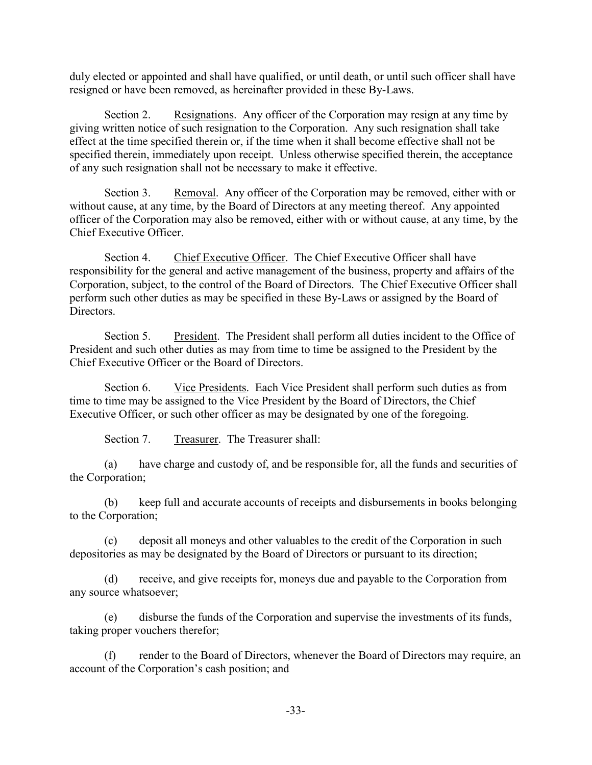duly elected or appointed and shall have qualified, or until death, or until such officer shall have resigned or have been removed, as hereinafter provided in these By-Laws.

Section 2. Resignations. Any officer of the Corporation may resign at any time by giving written notice of such resignation to the Corporation. Any such resignation shall take effect at the time specified therein or, if the time when it shall become effective shall not be specified therein, immediately upon receipt. Unless otherwise specified therein, the acceptance of any such resignation shall not be necessary to make it effective.

Section 3. Removal. Any officer of the Corporation may be removed, either with or without cause, at any time, by the Board of Directors at any meeting thereof. Any appointed officer of the Corporation may also be removed, either with or without cause, at any time, by the Chief Executive Officer.

Section 4. Chief Executive Officer. The Chief Executive Officer shall have responsibility for the general and active management of the business, property and affairs of the Corporation, subject, to the control of the Board of Directors. The Chief Executive Officer shall perform such other duties as may be specified in these By-Laws or assigned by the Board of Directors.

Section 5. President. The President shall perform all duties incident to the Office of President and such other duties as may from time to time be assigned to the President by the Chief Executive Officer or the Board of Directors.

Section 6. Vice Presidents. Each Vice President shall perform such duties as from time to time may be assigned to the Vice President by the Board of Directors, the Chief Executive Officer, or such other officer as may be designated by one of the foregoing.

Section 7. Treasurer. The Treasurer shall:

(a) have charge and custody of, and be responsible for, all the funds and securities of the Corporation;

(b) keep full and accurate accounts of receipts and disbursements in books belonging to the Corporation;

(c) deposit all moneys and other valuables to the credit of the Corporation in such depositories as may be designated by the Board of Directors or pursuant to its direction;

(d) receive, and give receipts for, moneys due and payable to the Corporation from any source whatsoever;

(e) disburse the funds of the Corporation and supervise the investments of its funds, taking proper vouchers therefor;

(f) render to the Board of Directors, whenever the Board of Directors may require, an account of the Corporation's cash position; and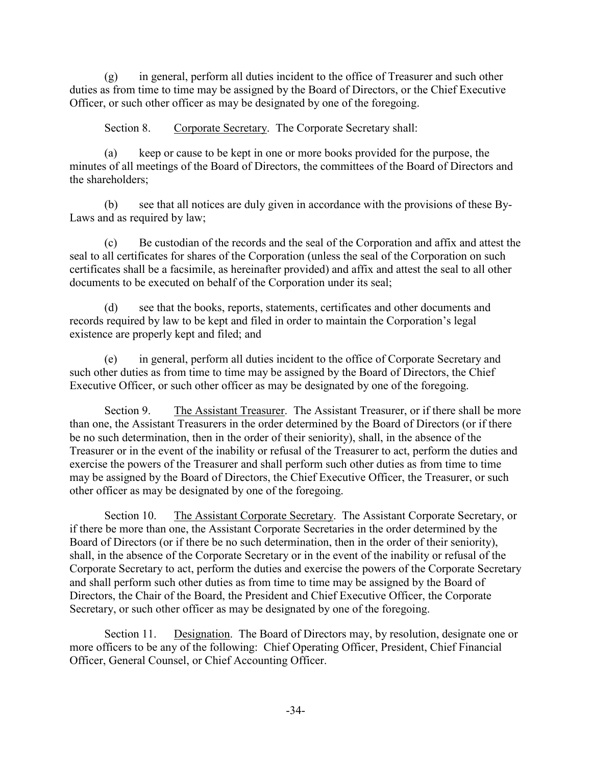(g) in general, perform all duties incident to the office of Treasurer and such other duties as from time to time may be assigned by the Board of Directors, or the Chief Executive Officer, or such other officer as may be designated by one of the foregoing.

Section 8. Corporate Secretary. The Corporate Secretary shall:

(a) keep or cause to be kept in one or more books provided for the purpose, the minutes of all meetings of the Board of Directors, the committees of the Board of Directors and the shareholders;

(b) see that all notices are duly given in accordance with the provisions of these By-Laws and as required by law;

(c) Be custodian of the records and the seal of the Corporation and affix and attest the seal to all certificates for shares of the Corporation (unless the seal of the Corporation on such certificates shall be a facsimile, as hereinafter provided) and affix and attest the seal to all other documents to be executed on behalf of the Corporation under its seal;

(d) see that the books, reports, statements, certificates and other documents and records required by law to be kept and filed in order to maintain the Corporation's legal existence are properly kept and filed; and

(e) in general, perform all duties incident to the office of Corporate Secretary and such other duties as from time to time may be assigned by the Board of Directors, the Chief Executive Officer, or such other officer as may be designated by one of the foregoing.

Section 9. The Assistant Treasurer. The Assistant Treasurer, or if there shall be more than one, the Assistant Treasurers in the order determined by the Board of Directors (or if there be no such determination, then in the order of their seniority), shall, in the absence of the Treasurer or in the event of the inability or refusal of the Treasurer to act, perform the duties and exercise the powers of the Treasurer and shall perform such other duties as from time to time may be assigned by the Board of Directors, the Chief Executive Officer, the Treasurer, or such other officer as may be designated by one of the foregoing.

Section 10. The Assistant Corporate Secretary. The Assistant Corporate Secretary, or if there be more than one, the Assistant Corporate Secretaries in the order determined by the Board of Directors (or if there be no such determination, then in the order of their seniority), shall, in the absence of the Corporate Secretary or in the event of the inability or refusal of the Corporate Secretary to act, perform the duties and exercise the powers of the Corporate Secretary and shall perform such other duties as from time to time may be assigned by the Board of Directors, the Chair of the Board, the President and Chief Executive Officer, the Corporate Secretary, or such other officer as may be designated by one of the foregoing.

Section 11. Designation. The Board of Directors may, by resolution, designate one or more officers to be any of the following: Chief Operating Officer, President, Chief Financial Officer, General Counsel, or Chief Accounting Officer.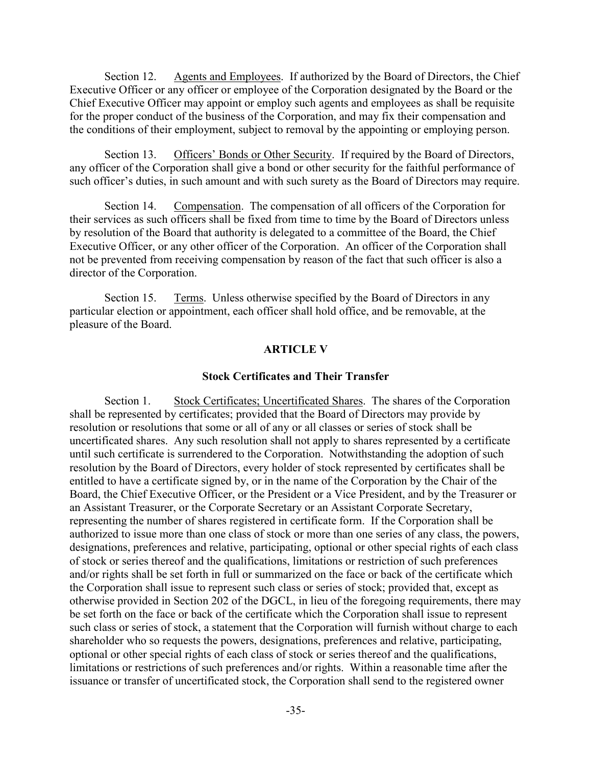Section 12. Agents and Employees. If authorized by the Board of Directors, the Chief Executive Officer or any officer or employee of the Corporation designated by the Board or the Chief Executive Officer may appoint or employ such agents and employees as shall be requisite for the proper conduct of the business of the Corporation, and may fix their compensation and the conditions of their employment, subject to removal by the appointing or employing person.

Section 13. Officers' Bonds or Other Security. If required by the Board of Directors, any officer of the Corporation shall give a bond or other security for the faithful performance of such officer's duties, in such amount and with such surety as the Board of Directors may require.

Section 14. Compensation. The compensation of all officers of the Corporation for their services as such officers shall be fixed from time to time by the Board of Directors unless by resolution of the Board that authority is delegated to a committee of the Board, the Chief Executive Officer, or any other officer of the Corporation. An officer of the Corporation shall not be prevented from receiving compensation by reason of the fact that such officer is also a director of the Corporation.

Section 15. Terms. Unless otherwise specified by the Board of Directors in any particular election or appointment, each officer shall hold office, and be removable, at the pleasure of the Board.

#### **ARTICLE V**

#### **Stock Certificates and Their Transfer**

<span id="page-34-1"></span><span id="page-34-0"></span>Section 1. Stock Certificates; Uncertificated Shares. The shares of the Corporation shall be represented by certificates; provided that the Board of Directors may provide by resolution or resolutions that some or all of any or all classes or series of stock shall be uncertificated shares. Any such resolution shall not apply to shares represented by a certificate until such certificate is surrendered to the Corporation. Notwithstanding the adoption of such resolution by the Board of Directors, every holder of stock represented by certificates shall be entitled to have a certificate signed by, or in the name of the Corporation by the Chair of the Board, the Chief Executive Officer, or the President or a Vice President, and by the Treasurer or an Assistant Treasurer, or the Corporate Secretary or an Assistant Corporate Secretary, representing the number of shares registered in certificate form. If the Corporation shall be authorized to issue more than one class of stock or more than one series of any class, the powers, designations, preferences and relative, participating, optional or other special rights of each class of stock or series thereof and the qualifications, limitations or restriction of such preferences and/or rights shall be set forth in full or summarized on the face or back of the certificate which the Corporation shall issue to represent such class or series of stock; provided that, except as otherwise provided in Section 202 of the DGCL, in lieu of the foregoing requirements, there may be set forth on the face or back of the certificate which the Corporation shall issue to represent such class or series of stock, a statement that the Corporation will furnish without charge to each shareholder who so requests the powers, designations, preferences and relative, participating, optional or other special rights of each class of stock or series thereof and the qualifications, limitations or restrictions of such preferences and/or rights. Within a reasonable time after the issuance or transfer of uncertificated stock, the Corporation shall send to the registered owner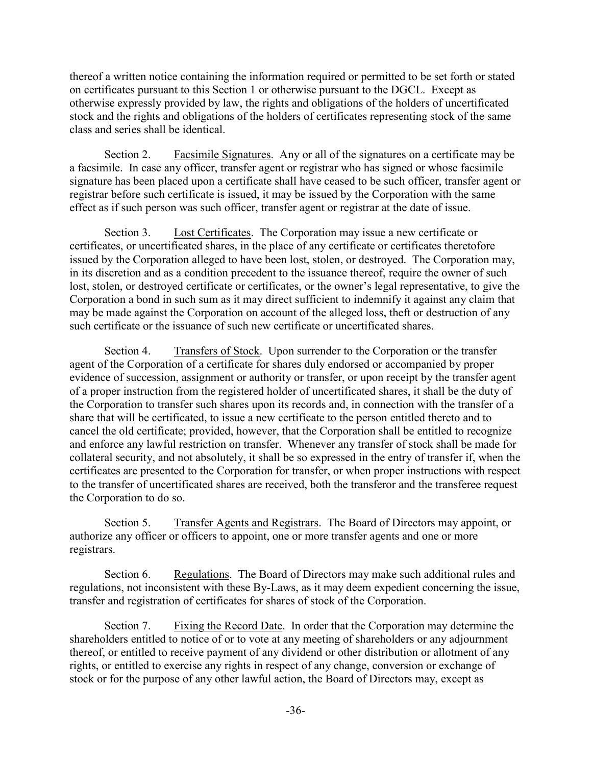thereof a written notice containing the information required or permitted to be set forth or stated on certificates pursuant to this [Section](#page-34-1) 1 or otherwise pursuant to the DGCL. Except as otherwise expressly provided by law, the rights and obligations of the holders of uncertificated stock and the rights and obligations of the holders of certificates representing stock of the same class and series shall be identical.

Section 2. Facsimile Signatures. Any or all of the signatures on a certificate may be a facsimile. In case any officer, transfer agent or registrar who has signed or whose facsimile signature has been placed upon a certificate shall have ceased to be such officer, transfer agent or registrar before such certificate is issued, it may be issued by the Corporation with the same effect as if such person was such officer, transfer agent or registrar at the date of issue.

Section 3. Lost Certificates. The Corporation may issue a new certificate or certificates, or uncertificated shares, in the place of any certificate or certificates theretofore issued by the Corporation alleged to have been lost, stolen, or destroyed. The Corporation may, in its discretion and as a condition precedent to the issuance thereof, require the owner of such lost, stolen, or destroyed certificate or certificates, or the owner's legal representative, to give the Corporation a bond in such sum as it may direct sufficient to indemnify it against any claim that may be made against the Corporation on account of the alleged loss, theft or destruction of any such certificate or the issuance of such new certificate or uncertificated shares.

Section 4. Transfers of Stock. Upon surrender to the Corporation or the transfer agent of the Corporation of a certificate for shares duly endorsed or accompanied by proper evidence of succession, assignment or authority or transfer, or upon receipt by the transfer agent of a proper instruction from the registered holder of uncertificated shares, it shall be the duty of the Corporation to transfer such shares upon its records and, in connection with the transfer of a share that will be certificated, to issue a new certificate to the person entitled thereto and to cancel the old certificate; provided, however, that the Corporation shall be entitled to recognize and enforce any lawful restriction on transfer. Whenever any transfer of stock shall be made for collateral security, and not absolutely, it shall be so expressed in the entry of transfer if, when the certificates are presented to the Corporation for transfer, or when proper instructions with respect to the transfer of uncertificated shares are received, both the transferor and the transferee request the Corporation to do so.

Section 5. Transfer Agents and Registrars. The Board of Directors may appoint, or authorize any officer or officers to appoint, one or more transfer agents and one or more registrars.

Section 6. Regulations. The Board of Directors may make such additional rules and regulations, not inconsistent with these By-Laws, as it may deem expedient concerning the issue, transfer and registration of certificates for shares of stock of the Corporation.

Section 7. Fixing the Record Date. In order that the Corporation may determine the shareholders entitled to notice of or to vote at any meeting of shareholders or any adjournment thereof, or entitled to receive payment of any dividend or other distribution or allotment of any rights, or entitled to exercise any rights in respect of any change, conversion or exchange of stock or for the purpose of any other lawful action, the Board of Directors may, except as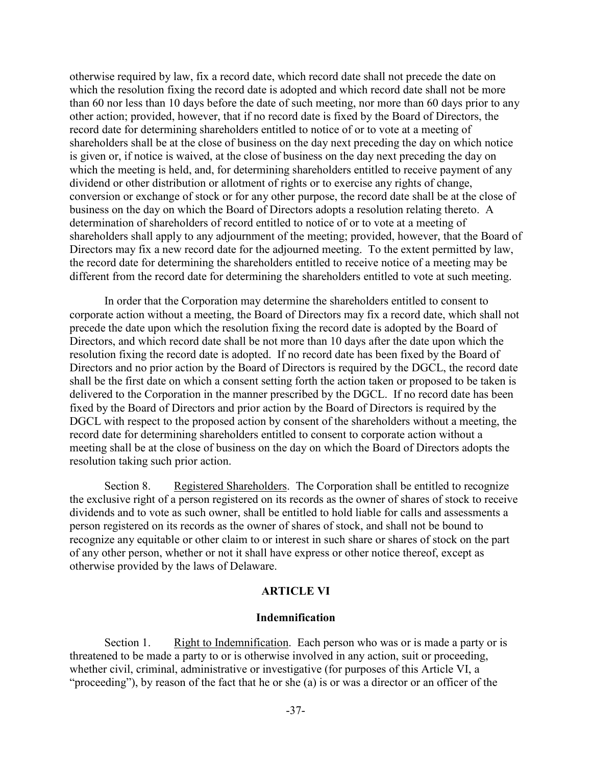otherwise required by law, fix a record date, which record date shall not precede the date on which the resolution fixing the record date is adopted and which record date shall not be more than 60 nor less than 10 days before the date of such meeting, nor more than 60 days prior to any other action; provided, however, that if no record date is fixed by the Board of Directors, the record date for determining shareholders entitled to notice of or to vote at a meeting of shareholders shall be at the close of business on the day next preceding the day on which notice is given or, if notice is waived, at the close of business on the day next preceding the day on which the meeting is held, and, for determining shareholders entitled to receive payment of any dividend or other distribution or allotment of rights or to exercise any rights of change, conversion or exchange of stock or for any other purpose, the record date shall be at the close of business on the day on which the Board of Directors adopts a resolution relating thereto. A determination of shareholders of record entitled to notice of or to vote at a meeting of shareholders shall apply to any adjournment of the meeting; provided, however, that the Board of Directors may fix a new record date for the adjourned meeting. To the extent permitted by law, the record date for determining the shareholders entitled to receive notice of a meeting may be different from the record date for determining the shareholders entitled to vote at such meeting.

In order that the Corporation may determine the shareholders entitled to consent to corporate action without a meeting, the Board of Directors may fix a record date, which shall not precede the date upon which the resolution fixing the record date is adopted by the Board of Directors, and which record date shall be not more than 10 days after the date upon which the resolution fixing the record date is adopted. If no record date has been fixed by the Board of Directors and no prior action by the Board of Directors is required by the DGCL, the record date shall be the first date on which a consent setting forth the action taken or proposed to be taken is delivered to the Corporation in the manner prescribed by the DGCL. If no record date has been fixed by the Board of Directors and prior action by the Board of Directors is required by the DGCL with respect to the proposed action by consent of the shareholders without a meeting, the record date for determining shareholders entitled to consent to corporate action without a meeting shall be at the close of business on the day on which the Board of Directors adopts the resolution taking such prior action.

Section 8. Registered Shareholders. The Corporation shall be entitled to recognize the exclusive right of a person registered on its records as the owner of shares of stock to receive dividends and to vote as such owner, shall be entitled to hold liable for calls and assessments a person registered on its records as the owner of shares of stock, and shall not be bound to recognize any equitable or other claim to or interest in such share or shares of stock on the part of any other person, whether or not it shall have express or other notice thereof, except as otherwise provided by the laws of Delaware.

# **ARTICLE VI**

## **Indemnification**

<span id="page-36-1"></span><span id="page-36-0"></span>Section 1. Right to Indemnification. Each person who was or is made a party or is threatened to be made a party to or is otherwise involved in any action, suit or proceeding, whether civil, criminal, administrative or investigative (for purposes of this [Article](#page-36-0) VI, a "proceeding"), by reason of the fact that he or she (a) is or was a director or an officer of the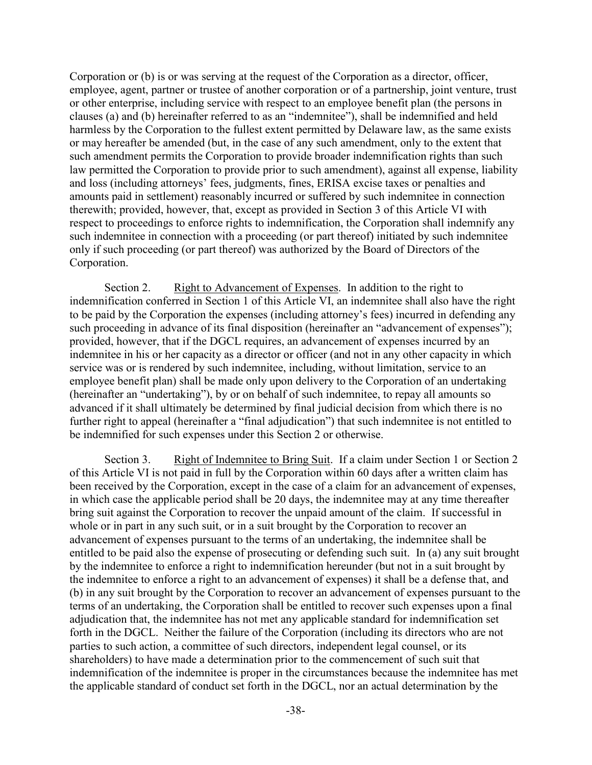Corporation or (b) is or was serving at the request of the Corporation as a director, officer, employee, agent, partner or trustee of another corporation or of a partnership, joint venture, trust or other enterprise, including service with respect to an employee benefit plan (the persons in clauses (a) and (b) hereinafter referred to as an "indemnitee"), shall be indemnified and held harmless by the Corporation to the fullest extent permitted by Delaware law, as the same exists or may hereafter be amended (but, in the case of any such amendment, only to the extent that such amendment permits the Corporation to provide broader indemnification rights than such law permitted the Corporation to provide prior to such amendment), against all expense, liability and loss (including attorneys' fees, judgments, fines, ERISA excise taxes or penalties and amounts paid in settlement) reasonably incurred or suffered by such indemnitee in connection therewith; provided, however, that, except as provided in [Section](#page-37-0) 3 of this [Article](#page-36-0) VI with respect to proceedings to enforce rights to indemnification, the Corporation shall indemnify any such indemnitee in connection with a proceeding (or part thereof) initiated by such indemnitee only if such proceeding (or part thereof) was authorized by the Board of Directors of the Corporation.

<span id="page-37-1"></span>Section 2. Right to Advancement of Expenses. In addition to the right to indemnification conferred in [Section](#page-36-1) 1 of this [Article](#page-36-0) VI, an indemnitee shall also have the right to be paid by the Corporation the expenses (including attorney's fees) incurred in defending any such proceeding in advance of its final disposition (hereinafter an "advancement of expenses"); provided, however, that if the DGCL requires, an advancement of expenses incurred by an indemnitee in his or her capacity as a director or officer (and not in any other capacity in which service was or is rendered by such indemnitee, including, without limitation, service to an employee benefit plan) shall be made only upon delivery to the Corporation of an undertaking (hereinafter an "undertaking"), by or on behalf of such indemnitee, to repay all amounts so advanced if it shall ultimately be determined by final judicial decision from which there is no further right to appeal (hereinafter a "final adjudication") that such indemnitee is not entitled to be indemnified for such expenses under this [Section](#page-37-1) 2 or otherwise.

<span id="page-37-0"></span>Section 3. Right of Indemnitee to Bring Suit. If a claim under [Section](#page-37-1) 1 or Section 2 of this [Article](#page-36-0) VI is not paid in full by the Corporation within 60 days after a written claim has been received by the Corporation, except in the case of a claim for an advancement of expenses, in which case the applicable period shall be 20 days, the indemnitee may at any time thereafter bring suit against the Corporation to recover the unpaid amount of the claim. If successful in whole or in part in any such suit, or in a suit brought by the Corporation to recover an advancement of expenses pursuant to the terms of an undertaking, the indemnitee shall be entitled to be paid also the expense of prosecuting or defending such suit. In (a) any suit brought by the indemnitee to enforce a right to indemnification hereunder (but not in a suit brought by the indemnitee to enforce a right to an advancement of expenses) it shall be a defense that, and (b) in any suit brought by the Corporation to recover an advancement of expenses pursuant to the terms of an undertaking, the Corporation shall be entitled to recover such expenses upon a final adjudication that, the indemnitee has not met any applicable standard for indemnification set forth in the DGCL. Neither the failure of the Corporation (including its directors who are not parties to such action, a committee of such directors, independent legal counsel, or its shareholders) to have made a determination prior to the commencement of such suit that indemnification of the indemnitee is proper in the circumstances because the indemnitee has met the applicable standard of conduct set forth in the DGCL, nor an actual determination by the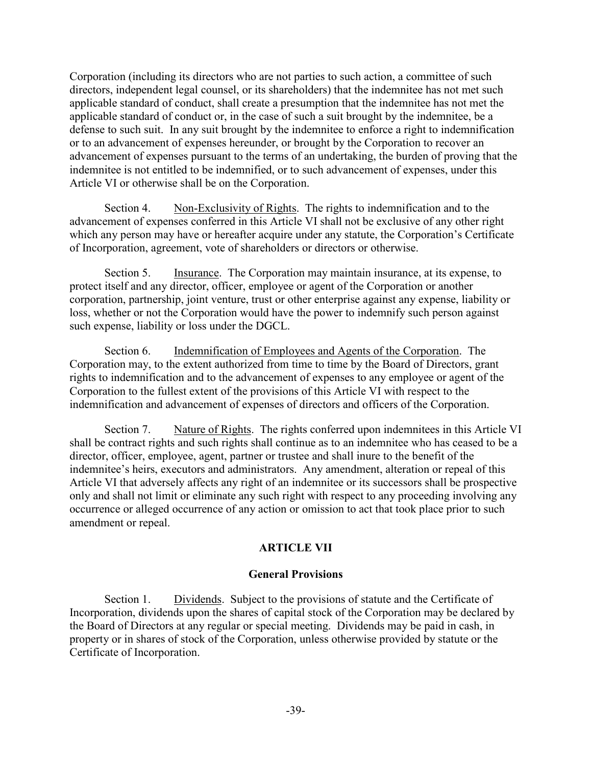Corporation (including its directors who are not parties to such action, a committee of such directors, independent legal counsel, or its shareholders) that the indemnitee has not met such applicable standard of conduct, shall create a presumption that the indemnitee has not met the applicable standard of conduct or, in the case of such a suit brought by the indemnitee, be a defense to such suit. In any suit brought by the indemnitee to enforce a right to indemnification or to an advancement of expenses hereunder, or brought by the Corporation to recover an advancement of expenses pursuant to the terms of an undertaking, the burden of proving that the indemnitee is not entitled to be indemnified, or to such advancement of expenses, under this [Article](#page-36-0) VI or otherwise shall be on the Corporation.

Section 4. Non-Exclusivity of Rights. The rights to indemnification and to the advancement of expenses conferred in this [Article](#page-36-0) VI shall not be exclusive of any other right which any person may have or hereafter acquire under any statute, the Corporation's Certificate of Incorporation, agreement, vote of shareholders or directors or otherwise.

Section 5. Insurance. The Corporation may maintain insurance, at its expense, to protect itself and any director, officer, employee or agent of the Corporation or another corporation, partnership, joint venture, trust or other enterprise against any expense, liability or loss, whether or not the Corporation would have the power to indemnify such person against such expense, liability or loss under the DGCL.

Section 6. Indemnification of Employees and Agents of the Corporation. The Corporation may, to the extent authorized from time to time by the Board of Directors, grant rights to indemnification and to the advancement of expenses to any employee or agent of the Corporation to the fullest extent of the provisions of this [Article](#page-36-0) VI with respect to the indemnification and advancement of expenses of directors and officers of the Corporation.

Section 7. Nature of Rights. The rights conferred upon indemnitees in this [Article](#page-36-0) VI shall be contract rights and such rights shall continue as to an indemnitee who has ceased to be a director, officer, employee, agent, partner or trustee and shall inure to the benefit of the indemnitee's heirs, executors and administrators. Any amendment, alteration or repeal of this [Article](#page-36-0) VI that adversely affects any right of an indemnitee or its successors shall be prospective only and shall not limit or eliminate any such right with respect to any proceeding involving any occurrence or alleged occurrence of any action or omission to act that took place prior to such amendment or repeal.

# **ARTICLE VII**

# **General Provisions**

Section 1. Dividends. Subject to the provisions of statute and the Certificate of Incorporation, dividends upon the shares of capital stock of the Corporation may be declared by the Board of Directors at any regular or special meeting. Dividends may be paid in cash, in property or in shares of stock of the Corporation, unless otherwise provided by statute or the Certificate of Incorporation.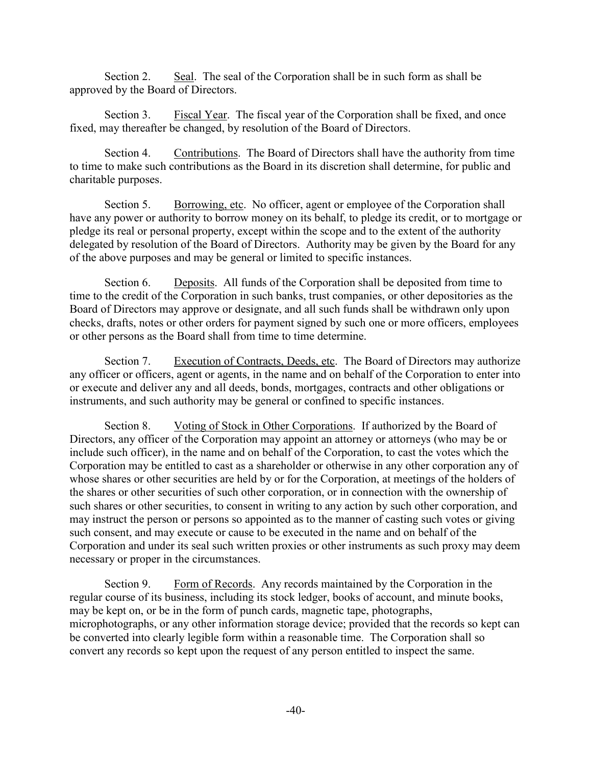Section 2. Seal. The seal of the Corporation shall be in such form as shall be approved by the Board of Directors.

Section 3. Fiscal Year. The fiscal year of the Corporation shall be fixed, and once fixed, may thereafter be changed, by resolution of the Board of Directors.

Section 4. Contributions. The Board of Directors shall have the authority from time to time to make such contributions as the Board in its discretion shall determine, for public and charitable purposes.

Section 5. Borrowing, etc. No officer, agent or employee of the Corporation shall have any power or authority to borrow money on its behalf, to pledge its credit, or to mortgage or pledge its real or personal property, except within the scope and to the extent of the authority delegated by resolution of the Board of Directors. Authority may be given by the Board for any of the above purposes and may be general or limited to specific instances.

Section 6. Deposits. All funds of the Corporation shall be deposited from time to time to the credit of the Corporation in such banks, trust companies, or other depositories as the Board of Directors may approve or designate, and all such funds shall be withdrawn only upon checks, drafts, notes or other orders for payment signed by such one or more officers, employees or other persons as the Board shall from time to time determine.

Section 7. Execution of Contracts, Deeds, etc. The Board of Directors may authorize any officer or officers, agent or agents, in the name and on behalf of the Corporation to enter into or execute and deliver any and all deeds, bonds, mortgages, contracts and other obligations or instruments, and such authority may be general or confined to specific instances.

Section 8. Voting of Stock in Other Corporations. If authorized by the Board of Directors, any officer of the Corporation may appoint an attorney or attorneys (who may be or include such officer), in the name and on behalf of the Corporation, to cast the votes which the Corporation may be entitled to cast as a shareholder or otherwise in any other corporation any of whose shares or other securities are held by or for the Corporation, at meetings of the holders of the shares or other securities of such other corporation, or in connection with the ownership of such shares or other securities, to consent in writing to any action by such other corporation, and may instruct the person or persons so appointed as to the manner of casting such votes or giving such consent, and may execute or cause to be executed in the name and on behalf of the Corporation and under its seal such written proxies or other instruments as such proxy may deem necessary or proper in the circumstances.

Section 9. Form of Records. Any records maintained by the Corporation in the regular course of its business, including its stock ledger, books of account, and minute books, may be kept on, or be in the form of punch cards, magnetic tape, photographs, microphotographs, or any other information storage device; provided that the records so kept can be converted into clearly legible form within a reasonable time. The Corporation shall so convert any records so kept upon the request of any person entitled to inspect the same.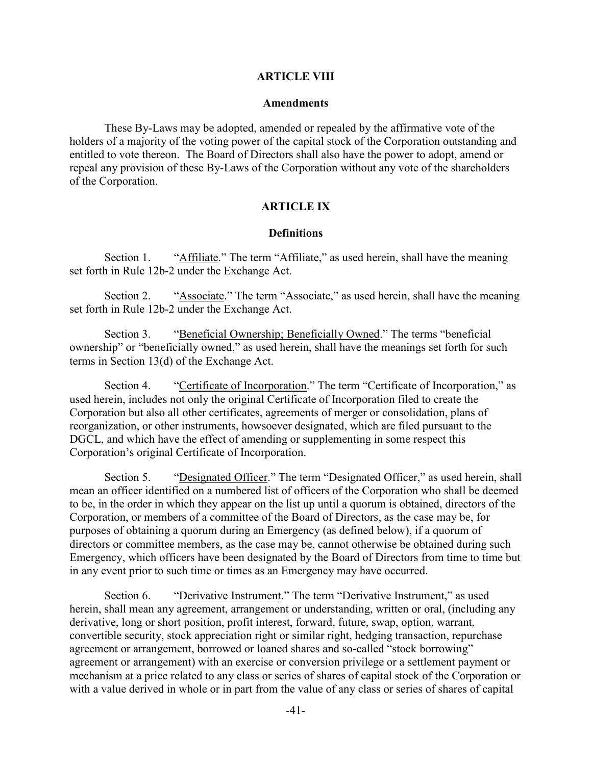## **ARTICLE VIII**

#### **Amendments**

These By-Laws may be adopted, amended or repealed by the affirmative vote of the holders of a majority of the voting power of the capital stock of the Corporation outstanding and entitled to vote thereon. The Board of Directors shall also have the power to adopt, amend or repeal any provision of these By-Laws of the Corporation without any vote of the shareholders of the Corporation.

## **ARTICLE IX**

## **Definitions**

Section 1. "Affiliate." The term "Affiliate," as used herein, shall have the meaning set forth in Rule 12b-2 under the Exchange Act.

Section 2. "Associate." The term "Associate," as used herein, shall have the meaning set forth in Rule 12b-2 under the Exchange Act.

Section 3. "Beneficial Ownership; Beneficially Owned." The terms "beneficial ownership" or "beneficially owned," as used herein, shall have the meanings set forth for such terms in Section 13(d) of the Exchange Act.

Section 4. "Certificate of Incorporation." The term "Certificate of Incorporation," as used herein, includes not only the original Certificate of Incorporation filed to create the Corporation but also all other certificates, agreements of merger or consolidation, plans of reorganization, or other instruments, howsoever designated, which are filed pursuant to the DGCL, and which have the effect of amending or supplementing in some respect this Corporation's original Certificate of Incorporation.

Section 5. "Designated Officer." The term "Designated Officer," as used herein, shall mean an officer identified on a numbered list of officers of the Corporation who shall be deemed to be, in the order in which they appear on the list up until a quorum is obtained, directors of the Corporation, or members of a committee of the Board of Directors, as the case may be, for purposes of obtaining a quorum during an Emergency (as defined below), if a quorum of directors or committee members, as the case may be, cannot otherwise be obtained during such Emergency, which officers have been designated by the Board of Directors from time to time but in any event prior to such time or times as an Emergency may have occurred.

Section 6. "Derivative Instrument." The term "Derivative Instrument," as used herein, shall mean any agreement, arrangement or understanding, written or oral, (including any derivative, long or short position, profit interest, forward, future, swap, option, warrant, convertible security, stock appreciation right or similar right, hedging transaction, repurchase agreement or arrangement, borrowed or loaned shares and so-called "stock borrowing" agreement or arrangement) with an exercise or conversion privilege or a settlement payment or mechanism at a price related to any class or series of shares of capital stock of the Corporation or with a value derived in whole or in part from the value of any class or series of shares of capital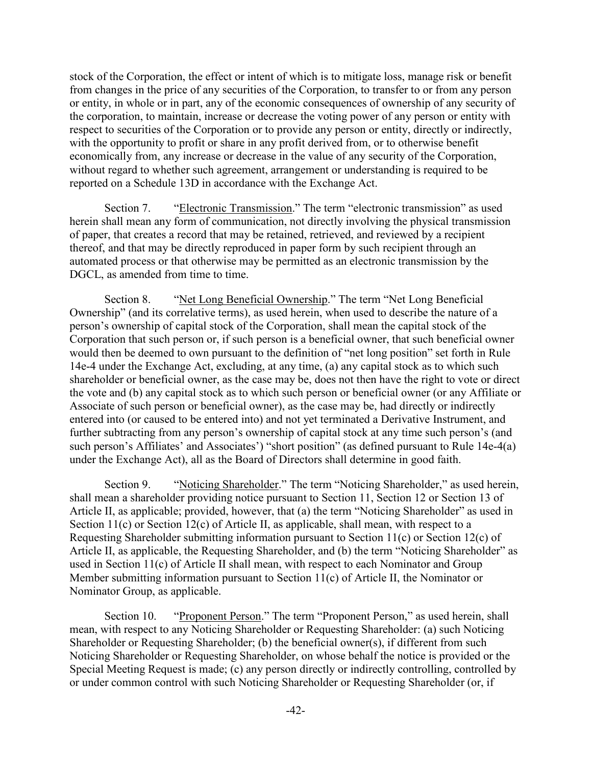stock of the Corporation, the effect or intent of which is to mitigate loss, manage risk or benefit from changes in the price of any securities of the Corporation, to transfer to or from any person or entity, in whole or in part, any of the economic consequences of ownership of any security of the corporation, to maintain, increase or decrease the voting power of any person or entity with respect to securities of the Corporation or to provide any person or entity, directly or indirectly, with the opportunity to profit or share in any profit derived from, or to otherwise benefit economically from, any increase or decrease in the value of any security of the Corporation, without regard to whether such agreement, arrangement or understanding is required to be reported on a Schedule 13D in accordance with the Exchange Act.

Section 7. "Electronic Transmission." The term "electronic transmission" as used herein shall mean any form of communication, not directly involving the physical transmission of paper, that creates a record that may be retained, retrieved, and reviewed by a recipient thereof, and that may be directly reproduced in paper form by such recipient through an automated process or that otherwise may be permitted as an electronic transmission by the DGCL, as amended from time to time.

Section 8. "Net Long Beneficial Ownership." The term "Net Long Beneficial Ownership" (and its correlative terms), as used herein, when used to describe the nature of a person's ownership of capital stock of the Corporation, shall mean the capital stock of the Corporation that such person or, if such person is a beneficial owner, that such beneficial owner would then be deemed to own pursuant to the definition of "net long position" set forth in Rule 14e-4 under the Exchange Act, excluding, at any time, (a) any capital stock as to which such shareholder or beneficial owner, as the case may be, does not then have the right to vote or direct the vote and (b) any capital stock as to which such person or beneficial owner (or any Affiliate or Associate of such person or beneficial owner), as the case may be, had directly or indirectly entered into (or caused to be entered into) and not yet terminated a Derivative Instrument, and further subtracting from any person's ownership of capital stock at any time such person's (and such person's Affiliates' and Associates') "short position" (as defined pursuant to Rule 14e-4(a) under the Exchange Act), all as the Board of Directors shall determine in good faith.

Section 9. "Noticing Shareholder." The term "Noticing Shareholder," as used herein, shall mean a shareholder providing notice pursuant to [Section](#page-7-0) 11, [Section](#page-15-0) 12 or [Section](#page-16-0) 13 of [Article](#page-0-0) II, as applicable; provided, however, that (a) the term "Noticing Shareholder" as used in [Section](#page-15-0) 1[1\(c\)](#page-7-0) or Section 1[2\(c\)](#page-15-0) of [Article](#page-0-0) II, as applicable, shall mean, with respect to a Requesting Shareholder submitting information pursuant to [Section](#page-7-0) 1[1\(c\)](#page-7-0) or [Section](#page-15-0) 1[2\(c\)](#page-15-0) of [Article](#page-0-0) II, as applicable, the Requesting Shareholder, and (b) the term "Noticing Shareholder" as used in [Section](#page-7-0) 1[1\(c\)](#page-7-0) of [Article](#page-0-0) II shall mean, with respect to each Nominator and Group Member submitting information pursuant to [Section](#page-7-0) 1[1\(c\)](#page-7-0) of [Article](#page-0-0) II, the Nominator or Nominator Group, as applicable.

Section 10. "Proponent Person." The term "Proponent Person," as used herein, shall mean, with respect to any Noticing Shareholder or Requesting Shareholder: (a) such Noticing Shareholder or Requesting Shareholder; (b) the beneficial owner(s), if different from such Noticing Shareholder or Requesting Shareholder, on whose behalf the notice is provided or the Special Meeting Request is made; (c) any person directly or indirectly controlling, controlled by or under common control with such Noticing Shareholder or Requesting Shareholder (or, if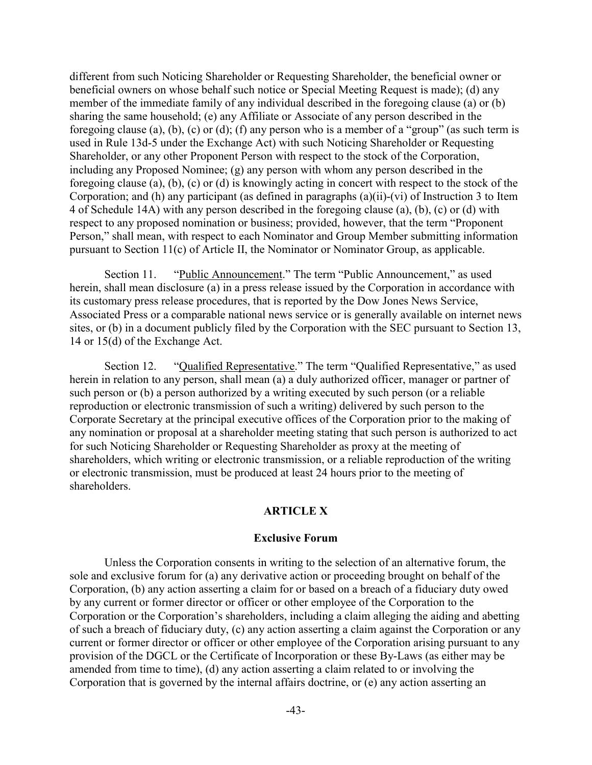different from such Noticing Shareholder or Requesting Shareholder, the beneficial owner or beneficial owners on whose behalf such notice or Special Meeting Request is made); (d) any member of the immediate family of any individual described in the foregoing clause (a) or (b) sharing the same household; (e) any Affiliate or Associate of any person described in the foregoing clause (a), (b), (c) or (d); (f) any person who is a member of a "group" (as such term is used in Rule 13d-5 under the Exchange Act) with such Noticing Shareholder or Requesting Shareholder, or any other Proponent Person with respect to the stock of the Corporation, including any Proposed Nominee; (g) any person with whom any person described in the foregoing clause (a), (b), (c) or (d) is knowingly acting in concert with respect to the stock of the Corporation; and (h) any participant (as defined in paragraphs (a)(ii)-(vi) of Instruction 3 to Item 4 of Schedule 14A) with any person described in the foregoing clause (a), (b), (c) or (d) with respect to any proposed nomination or business; provided, however, that the term "Proponent Person," shall mean, with respect to each Nominator and Group Member submitting information pursuant to [Section](#page-7-0) 1[1\(c\)](#page-7-0) of [Article](#page-0-0) II, the Nominator or Nominator Group, as applicable.

Section 11. "Public Announcement." The term "Public Announcement," as used herein, shall mean disclosure (a) in a press release issued by the Corporation in accordance with its customary press release procedures, that is reported by the Dow Jones News Service, Associated Press or a comparable national news service or is generally available on internet news sites, or (b) in a document publicly filed by the Corporation with the SEC pursuant to Section 13, 14 or 15(d) of the Exchange Act.

Section 12. "Qualified Representative." The term "Qualified Representative," as used herein in relation to any person, shall mean (a) a duly authorized officer, manager or partner of such person or (b) a person authorized by a writing executed by such person (or a reliable reproduction or electronic transmission of such a writing) delivered by such person to the Corporate Secretary at the principal executive offices of the Corporation prior to the making of any nomination or proposal at a shareholder meeting stating that such person is authorized to act for such Noticing Shareholder or Requesting Shareholder as proxy at the meeting of shareholders, which writing or electronic transmission, or a reliable reproduction of the writing or electronic transmission, must be produced at least 24 hours prior to the meeting of shareholders.

## **ARTICLE X**

#### **Exclusive Forum**

Unless the Corporation consents in writing to the selection of an alternative forum, the sole and exclusive forum for (a) any derivative action or proceeding brought on behalf of the Corporation, (b) any action asserting a claim for or based on a breach of a fiduciary duty owed by any current or former director or officer or other employee of the Corporation to the Corporation or the Corporation's shareholders, including a claim alleging the aiding and abetting of such a breach of fiduciary duty, (c) any action asserting a claim against the Corporation or any current or former director or officer or other employee of the Corporation arising pursuant to any provision of the DGCL or the Certificate of Incorporation or these By-Laws (as either may be amended from time to time), (d) any action asserting a claim related to or involving the Corporation that is governed by the internal affairs doctrine, or (e) any action asserting an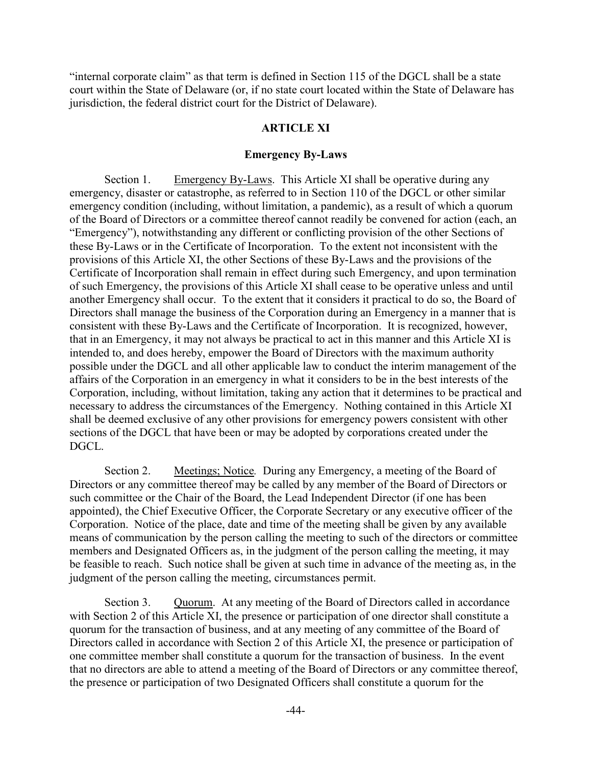"internal corporate claim" as that term is defined in Section 115 of the DGCL shall be a state court within the State of Delaware (or, if no state court located within the State of Delaware has jurisdiction, the federal district court for the District of Delaware).

## **ARTICLE XI**

## **Emergency By-Laws**

<span id="page-43-0"></span>Section 1. Emergency By-Laws. This [Article](#page-43-0) XI shall be operative during any emergency, disaster or catastrophe, as referred to in Section 110 of the DGCL or other similar emergency condition (including, without limitation, a pandemic), as a result of which a quorum of the Board of Directors or a committee thereof cannot readily be convened for action (each, an "Emergency"), notwithstanding any different or conflicting provision of the other Sections of these By-Laws or in the Certificate of Incorporation. To the extent not inconsistent with the provisions of this [Article](#page-43-0) XI, the other Sections of these By-Laws and the provisions of the Certificate of Incorporation shall remain in effect during such Emergency, and upon termination of such Emergency, the provisions of this [Article](#page-43-0) XI shall cease to be operative unless and until another Emergency shall occur. To the extent that it considers it practical to do so, the Board of Directors shall manage the business of the Corporation during an Emergency in a manner that is consistent with these By-Laws and the Certificate of Incorporation. It is recognized, however, that in an Emergency, it may not always be practical to act in this manner and this [Article](#page-43-0) XI is intended to, and does hereby, empower the Board of Directors with the maximum authority possible under the DGCL and all other applicable law to conduct the interim management of the affairs of the Corporation in an emergency in what it considers to be in the best interests of the Corporation, including, without limitation, taking any action that it determines to be practical and necessary to address the circumstances of the Emergency. Nothing contained in this [Article](#page-43-0) XI shall be deemed exclusive of any other provisions for emergency powers consistent with other sections of the DGCL that have been or may be adopted by corporations created under the DGCL.

<span id="page-43-1"></span>Section 2. Meetings; Notice*.* During any Emergency, a meeting of the Board of Directors or any committee thereof may be called by any member of the Board of Directors or such committee or the Chair of the Board, the Lead Independent Director (if one has been appointed), the Chief Executive Officer, the Corporate Secretary or any executive officer of the Corporation. Notice of the place, date and time of the meeting shall be given by any available means of communication by the person calling the meeting to such of the directors or committee members and Designated Officers as, in the judgment of the person calling the meeting, it may be feasible to reach. Such notice shall be given at such time in advance of the meeting as, in the judgment of the person calling the meeting, circumstances permit.

Section 3. Quorum. At any meeting of the Board of Directors called in accordance with [Section](#page-43-1) 2 of this [Article](#page-43-0) XI, the presence or participation of one director shall constitute a quorum for the transaction of business, and at any meeting of any committee of the Board of Directors called in accordance with [Section](#page-43-1) 2 of this [Article](#page-43-0) XI, the presence or participation of one committee member shall constitute a quorum for the transaction of business. In the event that no directors are able to attend a meeting of the Board of Directors or any committee thereof, the presence or participation of two Designated Officers shall constitute a quorum for the